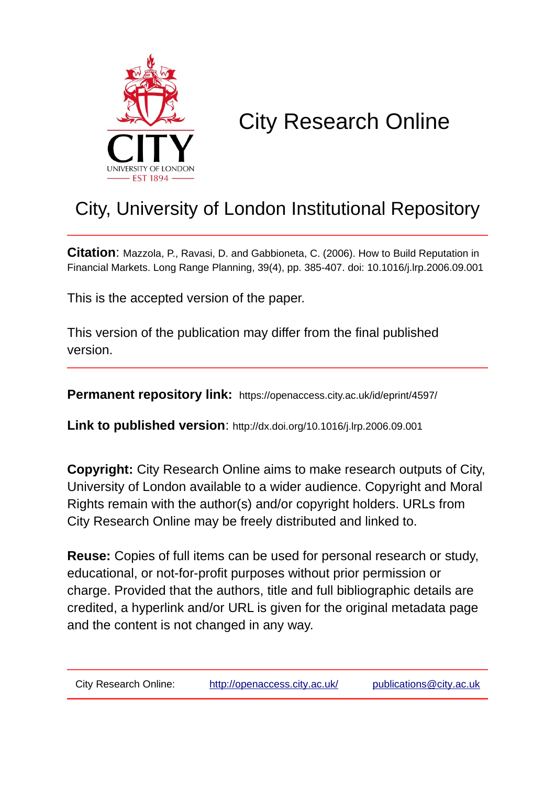

# City Research Online

## City, University of London Institutional Repository

**Citation**: Mazzola, P., Ravasi, D. and Gabbioneta, C. (2006). How to Build Reputation in Financial Markets. Long Range Planning, 39(4), pp. 385-407. doi: 10.1016/j.lrp.2006.09.001

This is the accepted version of the paper.

This version of the publication may differ from the final published version.

**Permanent repository link:** https://openaccess.city.ac.uk/id/eprint/4597/

**Link to published version**: http://dx.doi.org/10.1016/j.lrp.2006.09.001

**Copyright:** City Research Online aims to make research outputs of City, University of London available to a wider audience. Copyright and Moral Rights remain with the author(s) and/or copyright holders. URLs from City Research Online may be freely distributed and linked to.

**Reuse:** Copies of full items can be used for personal research or study, educational, or not-for-profit purposes without prior permission or charge. Provided that the authors, title and full bibliographic details are credited, a hyperlink and/or URL is given for the original metadata page and the content is not changed in any way.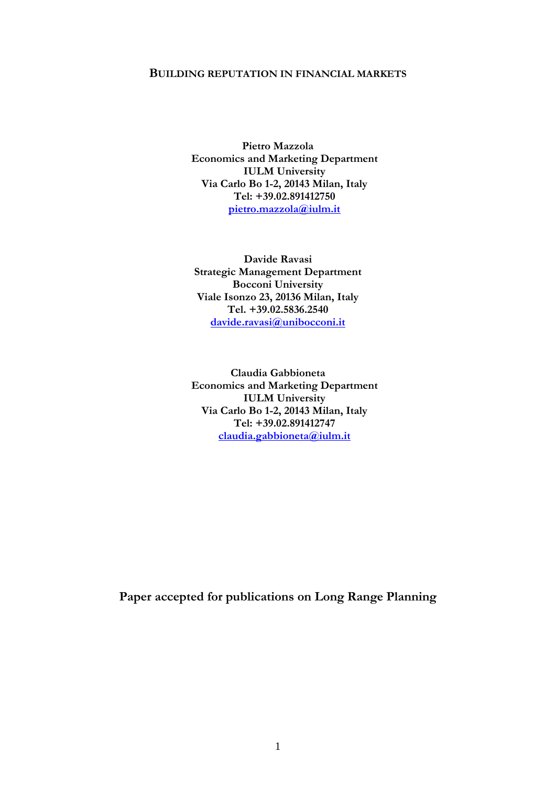## **BUILDING REPUTATION IN FINANCIAL MARKETS**

**Pietro Mazzola Economics and Marketing Department IULM University Via Carlo Bo 1-2, 20143 Milan, Italy Tel: +39.02.891412750 [pietro.mazzola@iulm.it](mailto:pietro.mazzola@iulm.it)**

**Davide Ravasi Strategic Management Department Bocconi University Viale Isonzo 23, 20136 Milan, Italy Tel. +39.02.5836.2540 [davide.ravasi@unibocconi.it](mailto:davide.ravasi@unibocconi.it)**

**Claudia Gabbioneta Economics and Marketing Department IULM University Via Carlo Bo 1-2, 20143 Milan, Italy Tel: +39.02.891412747 [claudia.gabbioneta@iulm.it](mailto:claudia.gabbioneta@iulm.it)**

**Paper accepted for publications on Long Range Planning**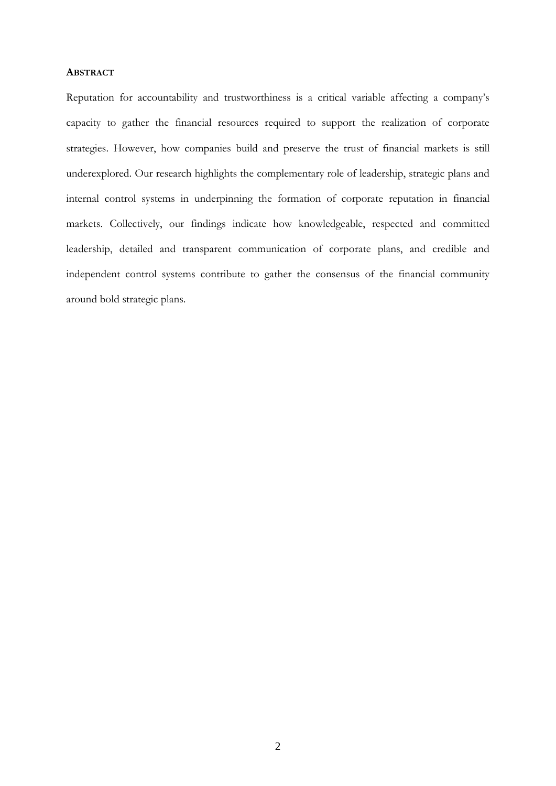## **ABSTRACT**

Reputation for accountability and trustworthiness is a critical variable affecting a company's capacity to gather the financial resources required to support the realization of corporate strategies. However, how companies build and preserve the trust of financial markets is still underexplored. Our research highlights the complementary role of leadership, strategic plans and internal control systems in underpinning the formation of corporate reputation in financial markets. Collectively, our findings indicate how knowledgeable, respected and committed leadership, detailed and transparent communication of corporate plans, and credible and independent control systems contribute to gather the consensus of the financial community around bold strategic plans.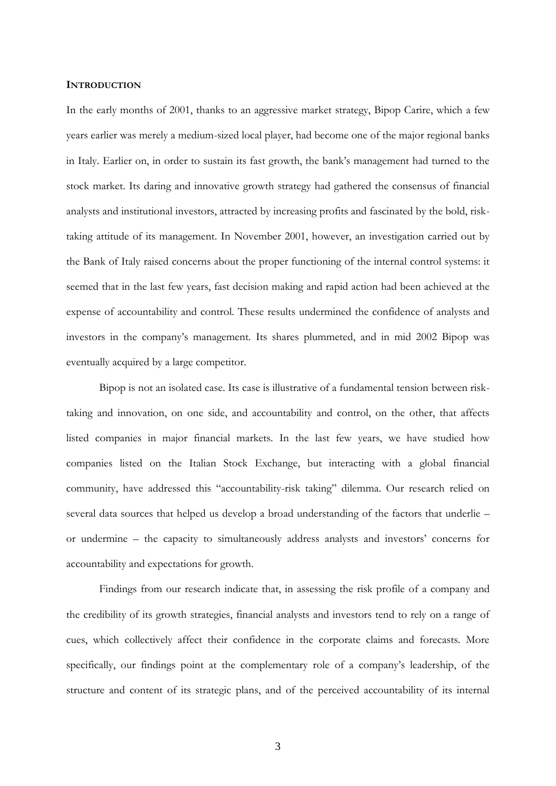## **INTRODUCTION**

In the early months of 2001, thanks to an aggressive market strategy, Bipop Carire, which a few years earlier was merely a medium-sized local player, had become one of the major regional banks in Italy. Earlier on, in order to sustain its fast growth, the bank's management had turned to the stock market. Its daring and innovative growth strategy had gathered the consensus of financial analysts and institutional investors, attracted by increasing profits and fascinated by the bold, risktaking attitude of its management. In November 2001, however, an investigation carried out by the Bank of Italy raised concerns about the proper functioning of the internal control systems: it seemed that in the last few years, fast decision making and rapid action had been achieved at the expense of accountability and control. These results undermined the confidence of analysts and investors in the company's management. Its shares plummeted, and in mid 2002 Bipop was eventually acquired by a large competitor.

Bipop is not an isolated case. Its case is illustrative of a fundamental tension between risktaking and innovation, on one side, and accountability and control, on the other, that affects listed companies in major financial markets. In the last few years, we have studied how companies listed on the Italian Stock Exchange, but interacting with a global financial community, have addressed this "accountability-risk taking" dilemma. Our research relied on several data sources that helped us develop a broad understanding of the factors that underlie – or undermine – the capacity to simultaneously address analysts and investors' concerns for accountability and expectations for growth.

Findings from our research indicate that, in assessing the risk profile of a company and the credibility of its growth strategies, financial analysts and investors tend to rely on a range of cues, which collectively affect their confidence in the corporate claims and forecasts. More specifically, our findings point at the complementary role of a company's leadership, of the structure and content of its strategic plans, and of the perceived accountability of its internal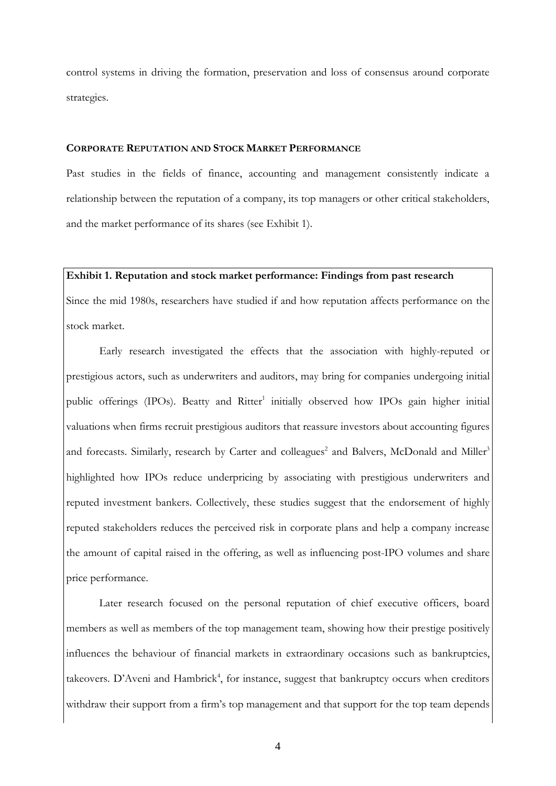control systems in driving the formation, preservation and loss of consensus around corporate strategies.

## **CORPORATE REPUTATION AND STOCK MARKET PERFORMANCE**

Past studies in the fields of finance, accounting and management consistently indicate a relationship between the reputation of a company, its top managers or other critical stakeholders, and the market performance of its shares (see Exhibit 1).

## **Exhibit 1. Reputation and stock market performance: Findings from past research**

Since the mid 1980s, researchers have studied if and how reputation affects performance on the stock market.

Early research investigated the effects that the association with highly-reputed or prestigious actors, such as underwriters and auditors, may bring for companies undergoing initial public offerings (IPOs). Beatty and Ritter<sup>1</sup> initially observed how IPOs gain higher initial valuations when firms recruit prestigious auditors that reassure investors about accounting figures and forecasts. Similarly, research by Carter and colleagues<sup>2</sup> and Balvers, McDonald and Miller<sup>3</sup> highlighted how IPOs reduce underpricing by associating with prestigious underwriters and reputed investment bankers. Collectively, these studies suggest that the endorsement of highly reputed stakeholders reduces the perceived risk in corporate plans and help a company increase the amount of capital raised in the offering, as well as influencing post-IPO volumes and share price performance.

Later research focused on the personal reputation of chief executive officers, board members as well as members of the top management team, showing how their prestige positively influences the behaviour of financial markets in extraordinary occasions such as bankruptcies, takeovers. D'Aveni and Hambrick<sup>4</sup>, for instance, suggest that bankruptcy occurs when creditors withdraw their support from a firm's top management and that support for the top team depends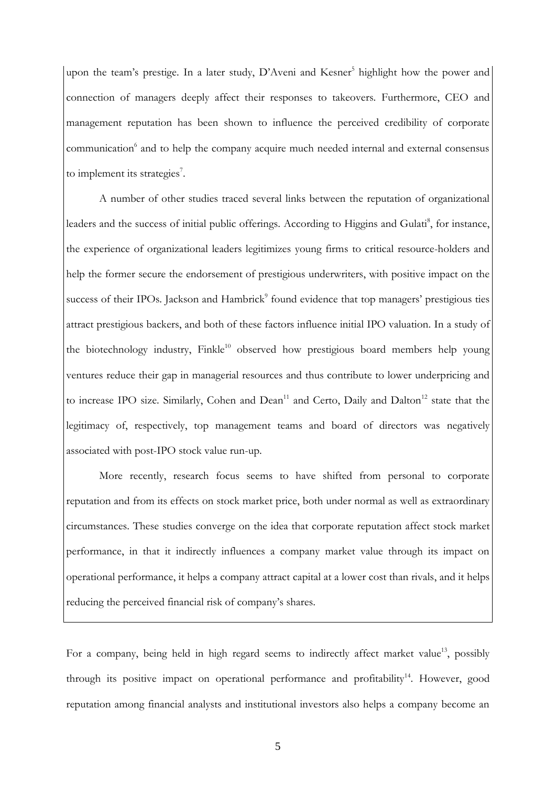upon the team's prestige. In a later study, D'Aveni and Kesner<sup>5</sup> highlight how the power and connection of managers deeply affect their responses to takeovers. Furthermore, CEO and management reputation has been shown to influence the perceived credibility of corporate communication<sup>6</sup> and to help the company acquire much needed internal and external consensus to implement its strategies<sup>7</sup>.

A number of other studies traced several links between the reputation of organizational leaders and the success of initial public offerings. According to Higgins and Gulati<sup>8</sup>, for instance, the experience of organizational leaders legitimizes young firms to critical resource-holders and help the former secure the endorsement of prestigious underwriters, with positive impact on the success of their IPOs. Jackson and Hambrick<sup>9</sup> found evidence that top managers' prestigious ties attract prestigious backers, and both of these factors influence initial IPO valuation. In a study of the biotechnology industry, Finkle<sup>10</sup> observed how prestigious board members help young ventures reduce their gap in managerial resources and thus contribute to lower underpricing and to increase IPO size. Similarly, Cohen and Dean<sup>11</sup> and Certo, Daily and Dalton<sup>12</sup> state that the legitimacy of, respectively, top management teams and board of directors was negatively associated with post-IPO stock value run-up.

More recently, research focus seems to have shifted from personal to corporate reputation and from its effects on stock market price, both under normal as well as extraordinary circumstances. These studies converge on the idea that corporate reputation affect stock market performance, in that it indirectly influences a company market value through its impact on operational performance, it helps a company attract capital at a lower cost than rivals, and it helps reducing the perceived financial risk of company's shares.

For a company, being held in high regard seems to indirectly affect market value<sup>13</sup>, possibly through its positive impact on operational performance and profitability<sup>14</sup>. However, good reputation among financial analysts and institutional investors also helps a company become an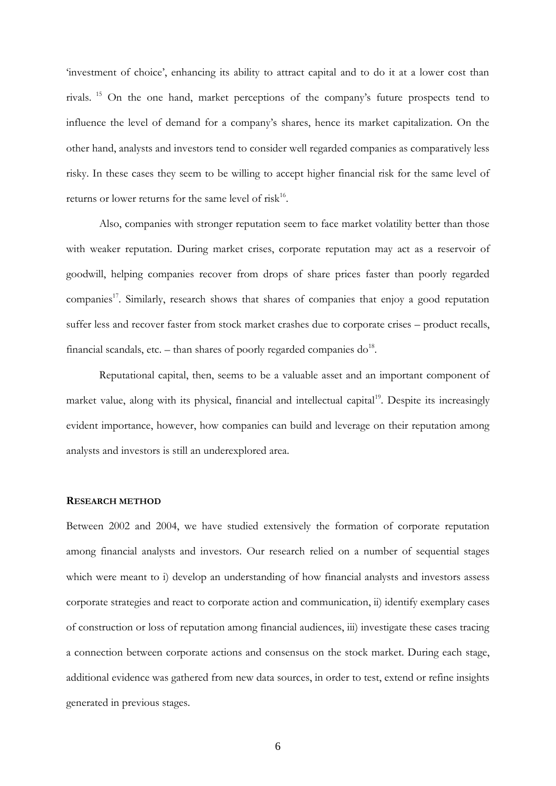'investment of choice', enhancing its ability to attract capital and to do it at a lower cost than rivals. <sup>15</sup> On the one hand, market perceptions of the company's future prospects tend to influence the level of demand for a company's shares, hence its market capitalization. On the other hand, analysts and investors tend to consider well regarded companies as comparatively less risky. In these cases they seem to be willing to accept higher financial risk for the same level of returns or lower returns for the same level of  $\text{risk}^{16}$ .

Also, companies with stronger reputation seem to face market volatility better than those with weaker reputation. During market crises, corporate reputation may act as a reservoir of goodwill, helping companies recover from drops of share prices faster than poorly regarded companies<sup>17</sup>. Similarly, research shows that shares of companies that enjoy a good reputation suffer less and recover faster from stock market crashes due to corporate crises – product recalls, financial scandals, etc.  $-$  than shares of poorly regarded companies do<sup>18</sup>.

Reputational capital, then, seems to be a valuable asset and an important component of market value, along with its physical, financial and intellectual capital<sup>19</sup>. Despite its increasingly evident importance, however, how companies can build and leverage on their reputation among analysts and investors is still an underexplored area.

## **RESEARCH METHOD**

Between 2002 and 2004, we have studied extensively the formation of corporate reputation among financial analysts and investors. Our research relied on a number of sequential stages which were meant to i) develop an understanding of how financial analysts and investors assess corporate strategies and react to corporate action and communication, ii) identify exemplary cases of construction or loss of reputation among financial audiences, iii) investigate these cases tracing a connection between corporate actions and consensus on the stock market. During each stage, additional evidence was gathered from new data sources, in order to test, extend or refine insights generated in previous stages.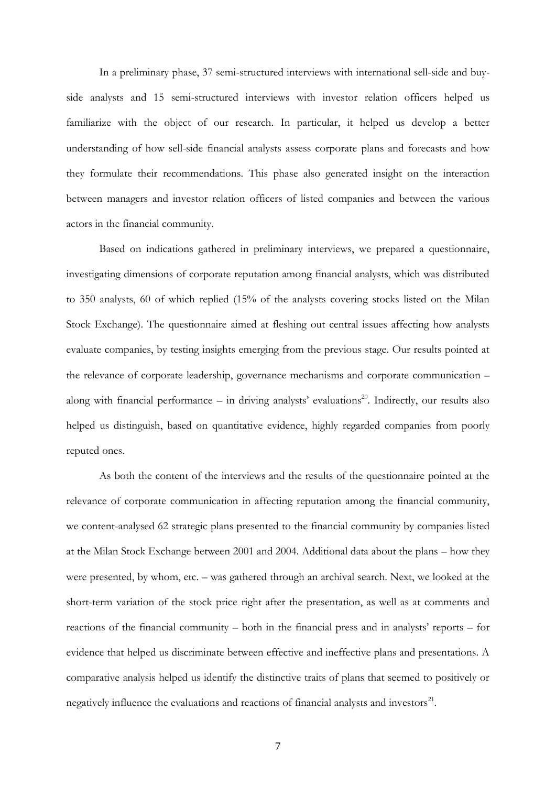In a preliminary phase, 37 semi-structured interviews with international sell-side and buyside analysts and 15 semi-structured interviews with investor relation officers helped us familiarize with the object of our research. In particular, it helped us develop a better understanding of how sell-side financial analysts assess corporate plans and forecasts and how they formulate their recommendations. This phase also generated insight on the interaction between managers and investor relation officers of listed companies and between the various actors in the financial community.

Based on indications gathered in preliminary interviews, we prepared a questionnaire, investigating dimensions of corporate reputation among financial analysts, which was distributed to 350 analysts, 60 of which replied (15% of the analysts covering stocks listed on the Milan Stock Exchange). The questionnaire aimed at fleshing out central issues affecting how analysts evaluate companies, by testing insights emerging from the previous stage. Our results pointed at the relevance of corporate leadership, governance mechanisms and corporate communication – along with financial performance – in driving analysts' evaluations<sup>20</sup>. Indirectly, our results also helped us distinguish, based on quantitative evidence, highly regarded companies from poorly reputed ones.

As both the content of the interviews and the results of the questionnaire pointed at the relevance of corporate communication in affecting reputation among the financial community, we content-analysed 62 strategic plans presented to the financial community by companies listed at the Milan Stock Exchange between 2001 and 2004. Additional data about the plans – how they were presented, by whom, etc. – was gathered through an archival search. Next, we looked at the short-term variation of the stock price right after the presentation, as well as at comments and reactions of the financial community – both in the financial press and in analysts' reports – for evidence that helped us discriminate between effective and ineffective plans and presentations. A comparative analysis helped us identify the distinctive traits of plans that seemed to positively or negatively influence the evaluations and reactions of financial analysts and investors $^{21}$ .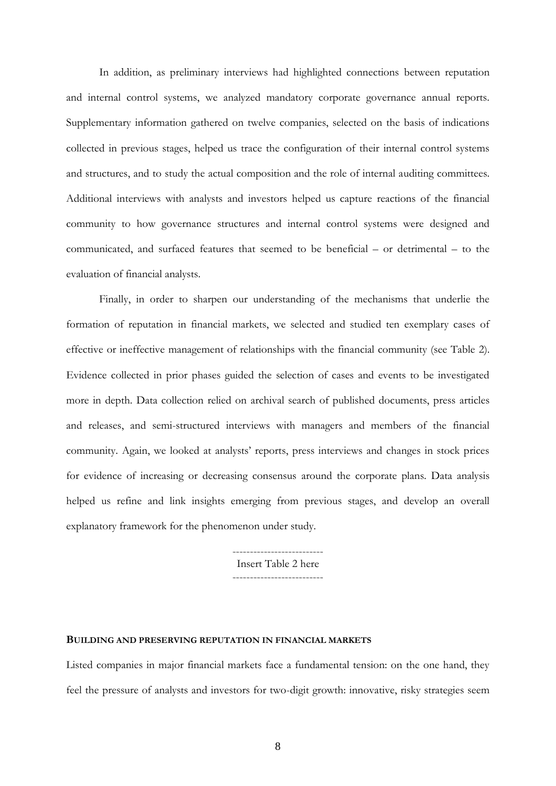In addition, as preliminary interviews had highlighted connections between reputation and internal control systems, we analyzed mandatory corporate governance annual reports. Supplementary information gathered on twelve companies, selected on the basis of indications collected in previous stages, helped us trace the configuration of their internal control systems and structures, and to study the actual composition and the role of internal auditing committees. Additional interviews with analysts and investors helped us capture reactions of the financial community to how governance structures and internal control systems were designed and communicated, and surfaced features that seemed to be beneficial – or detrimental – to the evaluation of financial analysts.

Finally, in order to sharpen our understanding of the mechanisms that underlie the formation of reputation in financial markets, we selected and studied ten exemplary cases of effective or ineffective management of relationships with the financial community (see Table 2). Evidence collected in prior phases guided the selection of cases and events to be investigated more in depth. Data collection relied on archival search of published documents, press articles and releases, and semi-structured interviews with managers and members of the financial community. Again, we looked at analysts' reports, press interviews and changes in stock prices for evidence of increasing or decreasing consensus around the corporate plans. Data analysis helped us refine and link insights emerging from previous stages, and develop an overall explanatory framework for the phenomenon under study.

> -------------------------- Insert Table 2 here --------------------------

## **BUILDING AND PRESERVING REPUTATION IN FINANCIAL MARKETS**

Listed companies in major financial markets face a fundamental tension: on the one hand, they feel the pressure of analysts and investors for two-digit growth: innovative, risky strategies seem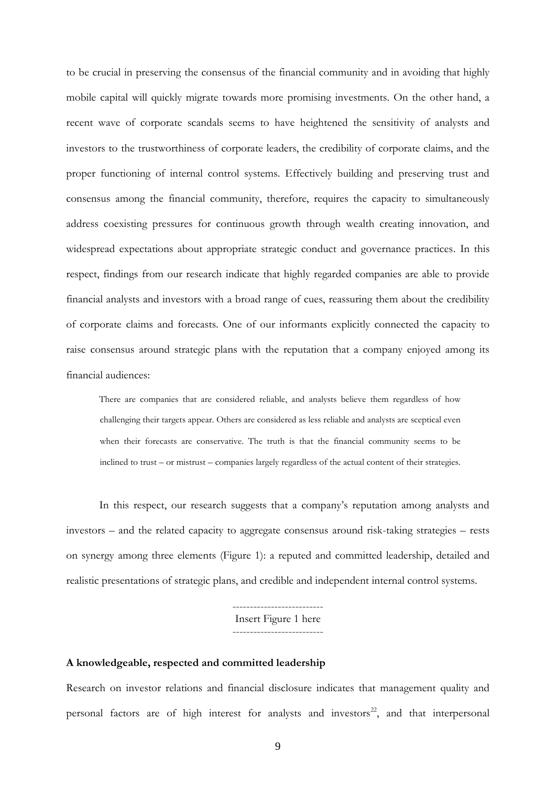to be crucial in preserving the consensus of the financial community and in avoiding that highly mobile capital will quickly migrate towards more promising investments. On the other hand, a recent wave of corporate scandals seems to have heightened the sensitivity of analysts and investors to the trustworthiness of corporate leaders, the credibility of corporate claims, and the proper functioning of internal control systems. Effectively building and preserving trust and consensus among the financial community, therefore, requires the capacity to simultaneously address coexisting pressures for continuous growth through wealth creating innovation, and widespread expectations about appropriate strategic conduct and governance practices. In this respect, findings from our research indicate that highly regarded companies are able to provide financial analysts and investors with a broad range of cues, reassuring them about the credibility of corporate claims and forecasts. One of our informants explicitly connected the capacity to raise consensus around strategic plans with the reputation that a company enjoyed among its financial audiences:

There are companies that are considered reliable, and analysts believe them regardless of how challenging their targets appear. Others are considered as less reliable and analysts are sceptical even when their forecasts are conservative. The truth is that the financial community seems to be inclined to trust – or mistrust – companies largely regardless of the actual content of their strategies.

In this respect, our research suggests that a company's reputation among analysts and investors – and the related capacity to aggregate consensus around risk-taking strategies – rests on synergy among three elements (Figure 1): a reputed and committed leadership, detailed and realistic presentations of strategic plans, and credible and independent internal control systems.

> Insert Figure 1 here --------------------------

--------------------------

## **A knowledgeable, respected and committed leadership**

Research on investor relations and financial disclosure indicates that management quality and personal factors are of high interest for analysts and investors<sup>22</sup>, and that interpersonal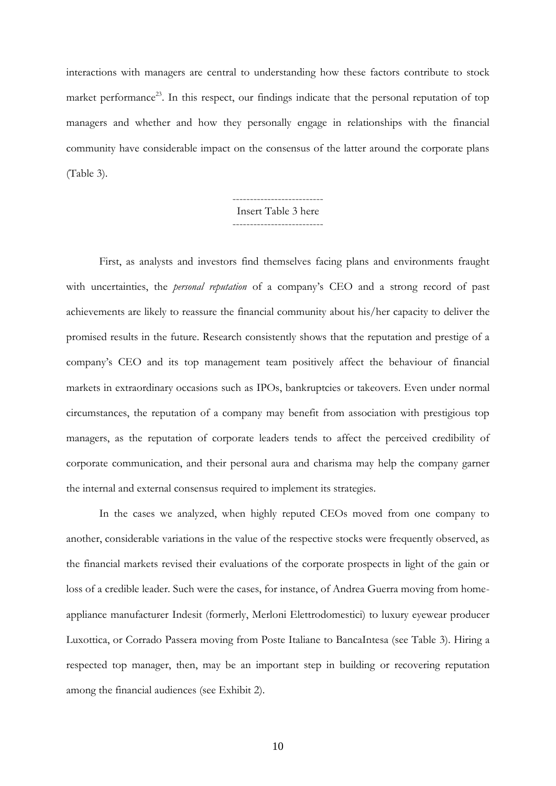interactions with managers are central to understanding how these factors contribute to stock market performance<sup>23</sup>. In this respect, our findings indicate that the personal reputation of top managers and whether and how they personally engage in relationships with the financial community have considerable impact on the consensus of the latter around the corporate plans (Table 3).

#### -------------------------- Insert Table 3 here --------------------------

First, as analysts and investors find themselves facing plans and environments fraught with uncertainties, the *personal reputation* of a company's CEO and a strong record of past achievements are likely to reassure the financial community about his/her capacity to deliver the promised results in the future. Research consistently shows that the reputation and prestige of a company's CEO and its top management team positively affect the behaviour of financial markets in extraordinary occasions such as IPOs, bankruptcies or takeovers. Even under normal circumstances, the reputation of a company may benefit from association with prestigious top managers, as the reputation of corporate leaders tends to affect the perceived credibility of corporate communication, and their personal aura and charisma may help the company garner the internal and external consensus required to implement its strategies.

In the cases we analyzed, when highly reputed CEOs moved from one company to another, considerable variations in the value of the respective stocks were frequently observed, as the financial markets revised their evaluations of the corporate prospects in light of the gain or loss of a credible leader. Such were the cases, for instance, of Andrea Guerra moving from homeappliance manufacturer Indesit (formerly, Merloni Elettrodomestici) to luxury eyewear producer Luxottica, or Corrado Passera moving from Poste Italiane to BancaIntesa (see Table 3). Hiring a respected top manager, then, may be an important step in building or recovering reputation among the financial audiences (see Exhibit 2).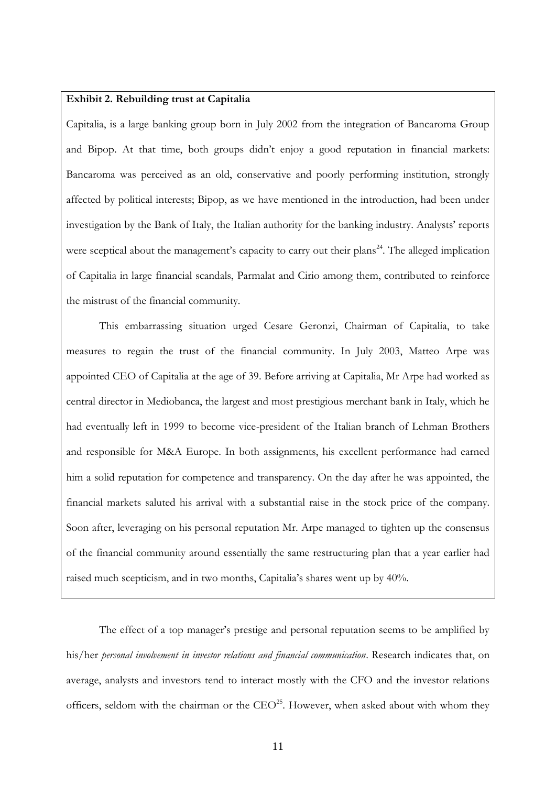## **Exhibit 2. Rebuilding trust at Capitalia**

Capitalia, is a large banking group born in July 2002 from the integration of Bancaroma Group and Bipop. At that time, both groups didn't enjoy a good reputation in financial markets: Bancaroma was perceived as an old, conservative and poorly performing institution, strongly affected by political interests; Bipop, as we have mentioned in the introduction, had been under investigation by the Bank of Italy, the Italian authority for the banking industry. Analysts' reports were sceptical about the management's capacity to carry out their plans<sup>24</sup>. The alleged implication of Capitalia in large financial scandals, Parmalat and Cirio among them, contributed to reinforce the mistrust of the financial community.

This embarrassing situation urged Cesare Geronzi, Chairman of Capitalia, to take measures to regain the trust of the financial community. In July 2003, Matteo Arpe was appointed CEO of Capitalia at the age of 39. Before arriving at Capitalia, Mr Arpe had worked as central director in Mediobanca, the largest and most prestigious merchant bank in Italy, which he had eventually left in 1999 to become vice-president of the Italian branch of Lehman Brothers and responsible for M&A Europe. In both assignments, his excellent performance had earned him a solid reputation for competence and transparency. On the day after he was appointed, the financial markets saluted his arrival with a substantial raise in the stock price of the company. Soon after, leveraging on his personal reputation Mr. Arpe managed to tighten up the consensus of the financial community around essentially the same restructuring plan that a year earlier had raised much scepticism, and in two months, Capitalia's shares went up by 40%.

The effect of a top manager's prestige and personal reputation seems to be amplified by his/her *personal involvement in investor relations and financial communication*. Research indicates that, on average, analysts and investors tend to interact mostly with the CFO and the investor relations officers, seldom with the chairman or the  $CEO<sup>25</sup>$ . However, when asked about with whom they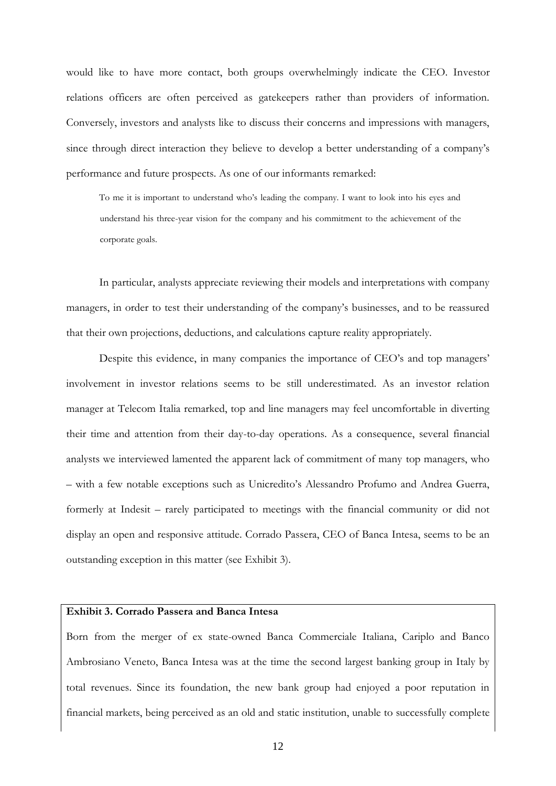would like to have more contact, both groups overwhelmingly indicate the CEO. Investor relations officers are often perceived as gatekeepers rather than providers of information. Conversely, investors and analysts like to discuss their concerns and impressions with managers, since through direct interaction they believe to develop a better understanding of a company's performance and future prospects. As one of our informants remarked:

To me it is important to understand who's leading the company. I want to look into his eyes and understand his three-year vision for the company and his commitment to the achievement of the corporate goals.

In particular, analysts appreciate reviewing their models and interpretations with company managers, in order to test their understanding of the company's businesses, and to be reassured that their own projections, deductions, and calculations capture reality appropriately.

Despite this evidence, in many companies the importance of CEO's and top managers' involvement in investor relations seems to be still underestimated. As an investor relation manager at Telecom Italia remarked, top and line managers may feel uncomfortable in diverting their time and attention from their day-to-day operations. As a consequence, several financial analysts we interviewed lamented the apparent lack of commitment of many top managers, who – with a few notable exceptions such as Unicredito's Alessandro Profumo and Andrea Guerra, formerly at Indesit – rarely participated to meetings with the financial community or did not display an open and responsive attitude. Corrado Passera, CEO of Banca Intesa, seems to be an outstanding exception in this matter (see Exhibit 3).

## **Exhibit 3. Corrado Passera and Banca Intesa**

Born from the merger of ex state-owned Banca Commerciale Italiana, Cariplo and Banco Ambrosiano Veneto, Banca Intesa was at the time the second largest banking group in Italy by total revenues. Since its foundation, the new bank group had enjoyed a poor reputation in financial markets, being perceived as an old and static institution, unable to successfully complete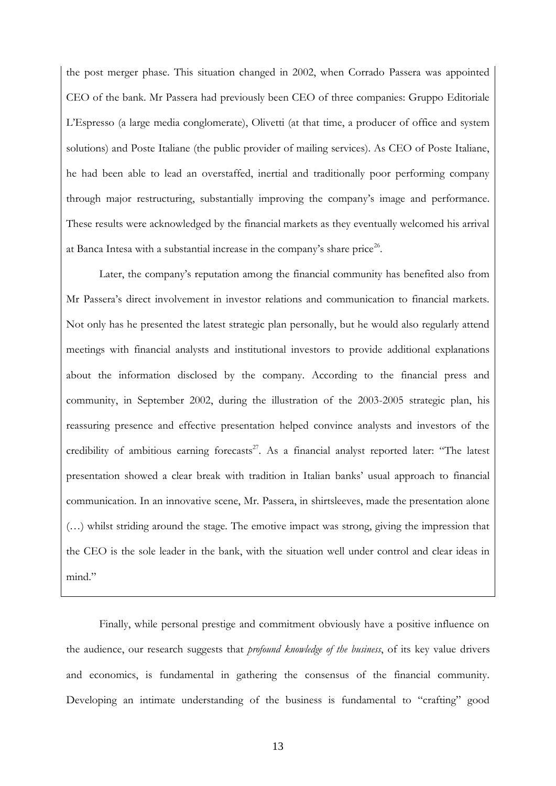the post merger phase. This situation changed in 2002, when Corrado Passera was appointed CEO of the bank. Mr Passera had previously been CEO of three companies: Gruppo Editoriale L'Espresso (a large media conglomerate), Olivetti (at that time, a producer of office and system solutions) and Poste Italiane (the public provider of mailing services). As CEO of Poste Italiane, he had been able to lead an overstaffed, inertial and traditionally poor performing company through major restructuring, substantially improving the company's image and performance. These results were acknowledged by the financial markets as they eventually welcomed his arrival at Banca Intesa with a substantial increase in the company's share price<sup>26</sup>.

Later, the company's reputation among the financial community has benefited also from Mr Passera's direct involvement in investor relations and communication to financial markets. Not only has he presented the latest strategic plan personally, but he would also regularly attend meetings with financial analysts and institutional investors to provide additional explanations about the information disclosed by the company. According to the financial press and community, in September 2002, during the illustration of the 2003-2005 strategic plan, his reassuring presence and effective presentation helped convince analysts and investors of the credibility of ambitious earning forecasts<sup>27</sup>. As a financial analyst reported later: "The latest presentation showed a clear break with tradition in Italian banks' usual approach to financial communication. In an innovative scene, Mr. Passera, in shirtsleeves, made the presentation alone (…) whilst striding around the stage. The emotive impact was strong, giving the impression that the CEO is the sole leader in the bank, with the situation well under control and clear ideas in mind."

Finally, while personal prestige and commitment obviously have a positive influence on the audience, our research suggests that *profound knowledge of the business*, of its key value drivers and economics, is fundamental in gathering the consensus of the financial community. Developing an intimate understanding of the business is fundamental to "crafting" good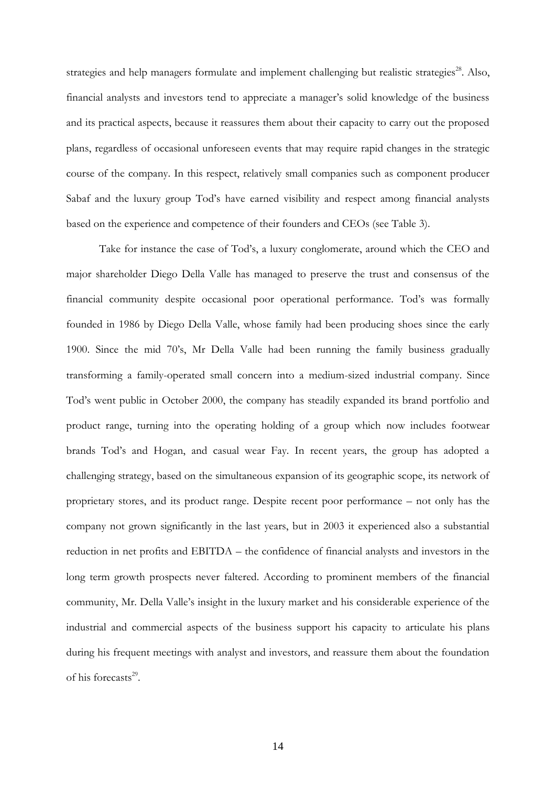strategies and help managers formulate and implement challenging but realistic strategies<sup>28</sup>. Also, financial analysts and investors tend to appreciate a manager's solid knowledge of the business and its practical aspects, because it reassures them about their capacity to carry out the proposed plans, regardless of occasional unforeseen events that may require rapid changes in the strategic course of the company. In this respect, relatively small companies such as component producer Sabaf and the luxury group Tod's have earned visibility and respect among financial analysts based on the experience and competence of their founders and CEOs (see Table 3).

Take for instance the case of Tod's, a luxury conglomerate, around which the CEO and major shareholder Diego Della Valle has managed to preserve the trust and consensus of the financial community despite occasional poor operational performance. Tod's was formally founded in 1986 by Diego Della Valle, whose family had been producing shoes since the early 1900. Since the mid 70's, Mr Della Valle had been running the family business gradually transforming a family-operated small concern into a medium-sized industrial company. Since Tod's went public in October 2000, the company has steadily expanded its brand portfolio and product range, turning into the operating holding of a group which now includes footwear brands Tod's and Hogan, and casual wear Fay. In recent years, the group has adopted a challenging strategy, based on the simultaneous expansion of its geographic scope, its network of proprietary stores, and its product range. Despite recent poor performance – not only has the company not grown significantly in the last years, but in 2003 it experienced also a substantial reduction in net profits and EBITDA – the confidence of financial analysts and investors in the long term growth prospects never faltered. According to prominent members of the financial community, Mr. Della Valle's insight in the luxury market and his considerable experience of the industrial and commercial aspects of the business support his capacity to articulate his plans during his frequent meetings with analyst and investors, and reassure them about the foundation of his forecasts<sup>29</sup>.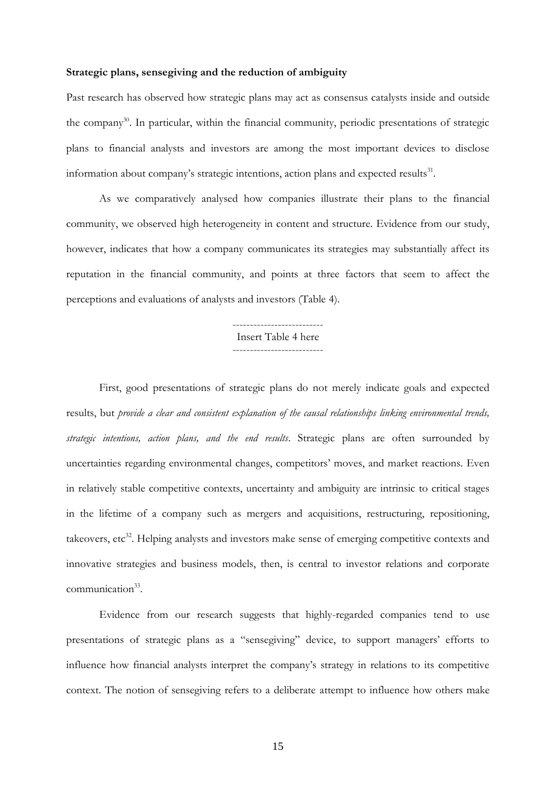## **Strategic plans, sensegiving and the reduction of ambiguity**

Past research has observed how strategic plans may act as consensus catalysts inside and outside the company<sup>30</sup>. In particular, within the financial community, periodic presentations of strategic plans to financial analysts and investors are among the most important devices to disclose information about company's strategic intentions, action plans and expected results $^{31}$ .

As we comparatively analysed how companies illustrate their plans to the financial community, we observed high heterogeneity in content and structure. Evidence from our study, however, indicates that how a company communicates its strategies may substantially affect its reputation in the financial community, and points at three factors that seem to affect the perceptions and evaluations of analysts and investors (Table 4).

> -------------------------- Insert Table 4 here --------------------------

First, good presentations of strategic plans do not merely indicate goals and expected results, but *provide a clear and consistent explanation of the causal relationships linking environmental trends, strategic intentions, action plans, and the end results*. Strategic plans are often surrounded by uncertainties regarding environmental changes, competitors' moves, and market reactions. Even in relatively stable competitive contexts, uncertainty and ambiguity are intrinsic to critical stages in the lifetime of a company such as mergers and acquisitions, restructuring, repositioning, takeovers, etc<sup>32</sup>. Helping analysts and investors make sense of emerging competitive contexts and innovative strategies and business models, then, is central to investor relations and corporate communication<sup>33</sup>.

Evidence from our research suggests that highly-regarded companies tend to use presentations of strategic plans as a "sensegiving" device, to support managers' efforts to influence how financial analysts interpret the company's strategy in relations to its competitive context. The notion of sensegiving refers to a deliberate attempt to influence how others make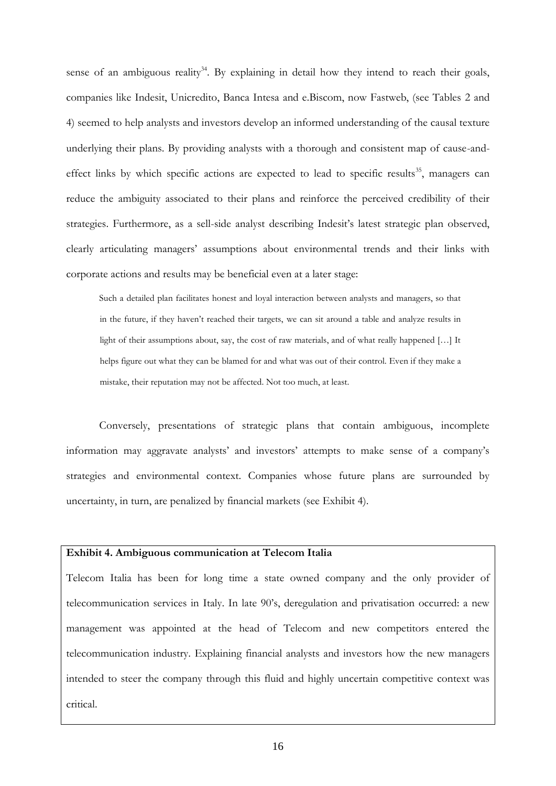sense of an ambiguous reality<sup>34</sup>. By explaining in detail how they intend to reach their goals, companies like Indesit, Unicredito, Banca Intesa and e.Biscom, now Fastweb, (see Tables 2 and 4) seemed to help analysts and investors develop an informed understanding of the causal texture underlying their plans. By providing analysts with a thorough and consistent map of cause-andeffect links by which specific actions are expected to lead to specific results<sup>35</sup>, managers can reduce the ambiguity associated to their plans and reinforce the perceived credibility of their strategies. Furthermore, as a sell-side analyst describing Indesit's latest strategic plan observed, clearly articulating managers' assumptions about environmental trends and their links with corporate actions and results may be beneficial even at a later stage:

Such a detailed plan facilitates honest and loyal interaction between analysts and managers, so that in the future, if they haven't reached their targets, we can sit around a table and analyze results in light of their assumptions about, say, the cost of raw materials, and of what really happened [...] It helps figure out what they can be blamed for and what was out of their control. Even if they make a mistake, their reputation may not be affected. Not too much, at least.

Conversely, presentations of strategic plans that contain ambiguous, incomplete information may aggravate analysts' and investors' attempts to make sense of a company's strategies and environmental context. Companies whose future plans are surrounded by uncertainty, in turn, are penalized by financial markets (see Exhibit 4).

## **Exhibit 4. Ambiguous communication at Telecom Italia**

Telecom Italia has been for long time a state owned company and the only provider of telecommunication services in Italy. In late 90's, deregulation and privatisation occurred: a new management was appointed at the head of Telecom and new competitors entered the telecommunication industry. Explaining financial analysts and investors how the new managers intended to steer the company through this fluid and highly uncertain competitive context was critical.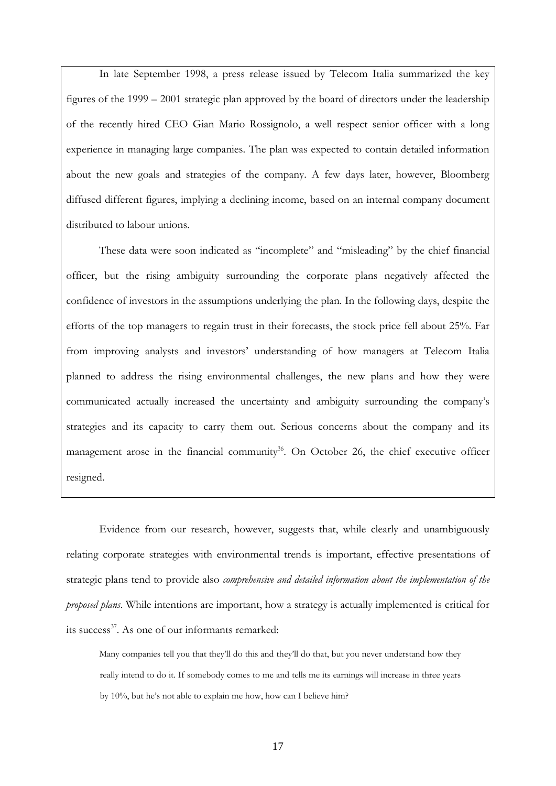In late September 1998, a press release issued by Telecom Italia summarized the key figures of the 1999 – 2001 strategic plan approved by the board of directors under the leadership of the recently hired CEO Gian Mario Rossignolo, a well respect senior officer with a long experience in managing large companies. The plan was expected to contain detailed information about the new goals and strategies of the company. A few days later, however, Bloomberg diffused different figures, implying a declining income, based on an internal company document distributed to labour unions.

These data were soon indicated as "incomplete" and "misleading" by the chief financial officer, but the rising ambiguity surrounding the corporate plans negatively affected the confidence of investors in the assumptions underlying the plan. In the following days, despite the efforts of the top managers to regain trust in their forecasts, the stock price fell about 25%. Far from improving analysts and investors' understanding of how managers at Telecom Italia planned to address the rising environmental challenges, the new plans and how they were communicated actually increased the uncertainty and ambiguity surrounding the company's strategies and its capacity to carry them out. Serious concerns about the company and its management arose in the financial community<sup>36</sup>. On October 26, the chief executive officer resigned.

Evidence from our research, however, suggests that, while clearly and unambiguously relating corporate strategies with environmental trends is important, effective presentations of strategic plans tend to provide also *comprehensive and detailed information about the implementation of the proposed plans*. While intentions are important, how a strategy is actually implemented is critical for its success<sup>37</sup>. As one of our informants remarked:

Many companies tell you that they'll do this and they'll do that, but you never understand how they really intend to do it. If somebody comes to me and tells me its earnings will increase in three years by 10%, but he's not able to explain me how, how can I believe him?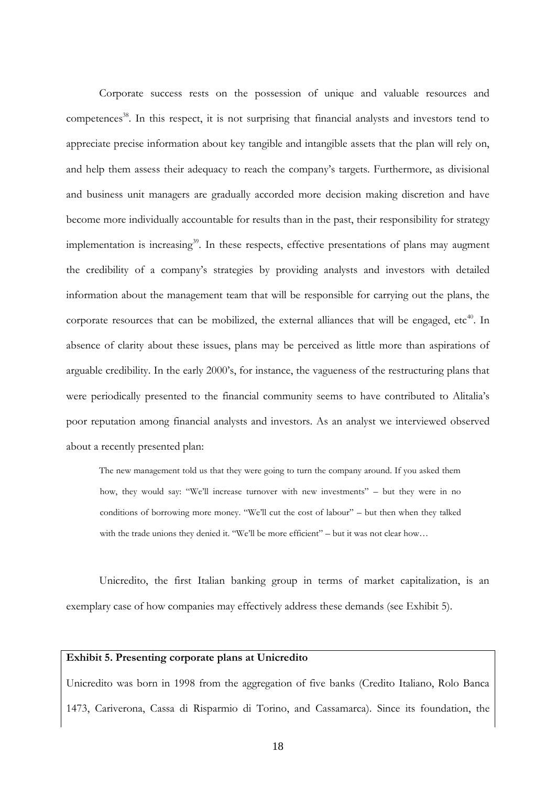Corporate success rests on the possession of unique and valuable resources and competences<sup>38</sup>. In this respect, it is not surprising that financial analysts and investors tend to appreciate precise information about key tangible and intangible assets that the plan will rely on, and help them assess their adequacy to reach the company's targets. Furthermore, as divisional and business unit managers are gradually accorded more decision making discretion and have become more individually accountable for results than in the past, their responsibility for strategy implementation is increasing<sup>39</sup>. In these respects, effective presentations of plans may augment the credibility of a company's strategies by providing analysts and investors with detailed information about the management team that will be responsible for carrying out the plans, the corporate resources that can be mobilized, the external alliances that will be engaged,  $etc<sup>40</sup>$ . In absence of clarity about these issues, plans may be perceived as little more than aspirations of arguable credibility. In the early 2000's, for instance, the vagueness of the restructuring plans that were periodically presented to the financial community seems to have contributed to Alitalia's poor reputation among financial analysts and investors. As an analyst we interviewed observed about a recently presented plan:

The new management told us that they were going to turn the company around. If you asked them how, they would say: "We'll increase turnover with new investments" – but they were in no conditions of borrowing more money. "We'll cut the cost of labour" – but then when they talked with the trade unions they denied it. "We'll be more efficient" – but it was not clear how...

Unicredito, the first Italian banking group in terms of market capitalization, is an exemplary case of how companies may effectively address these demands (see Exhibit 5).

## **Exhibit 5. Presenting corporate plans at Unicredito**

Unicredito was born in 1998 from the aggregation of five banks (Credito Italiano, Rolo Banca 1473, Cariverona, Cassa di Risparmio di Torino, and Cassamarca). Since its foundation, the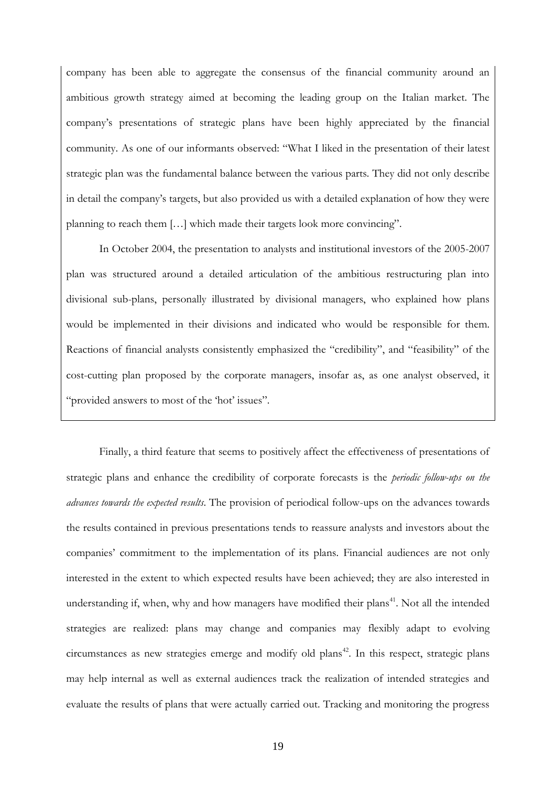company has been able to aggregate the consensus of the financial community around an ambitious growth strategy aimed at becoming the leading group on the Italian market. The company's presentations of strategic plans have been highly appreciated by the financial community. As one of our informants observed: "What I liked in the presentation of their latest strategic plan was the fundamental balance between the various parts. They did not only describe in detail the company's targets, but also provided us with a detailed explanation of how they were planning to reach them […] which made their targets look more convincing".

In October 2004, the presentation to analysts and institutional investors of the 2005-2007 plan was structured around a detailed articulation of the ambitious restructuring plan into divisional sub-plans, personally illustrated by divisional managers, who explained how plans would be implemented in their divisions and indicated who would be responsible for them. Reactions of financial analysts consistently emphasized the "credibility", and "feasibility" of the cost-cutting plan proposed by the corporate managers, insofar as, as one analyst observed, it "provided answers to most of the 'hot' issues".

Finally, a third feature that seems to positively affect the effectiveness of presentations of strategic plans and enhance the credibility of corporate forecasts is the *periodic follow-ups on the advances towards the expected results*. The provision of periodical follow-ups on the advances towards the results contained in previous presentations tends to reassure analysts and investors about the companies' commitment to the implementation of its plans. Financial audiences are not only interested in the extent to which expected results have been achieved; they are also interested in understanding if, when, why and how managers have modified their plans<sup>41</sup>. Not all the intended strategies are realized: plans may change and companies may flexibly adapt to evolving circumstances as new strategies emerge and modify old plans<sup>42</sup>. In this respect, strategic plans may help internal as well as external audiences track the realization of intended strategies and evaluate the results of plans that were actually carried out. Tracking and monitoring the progress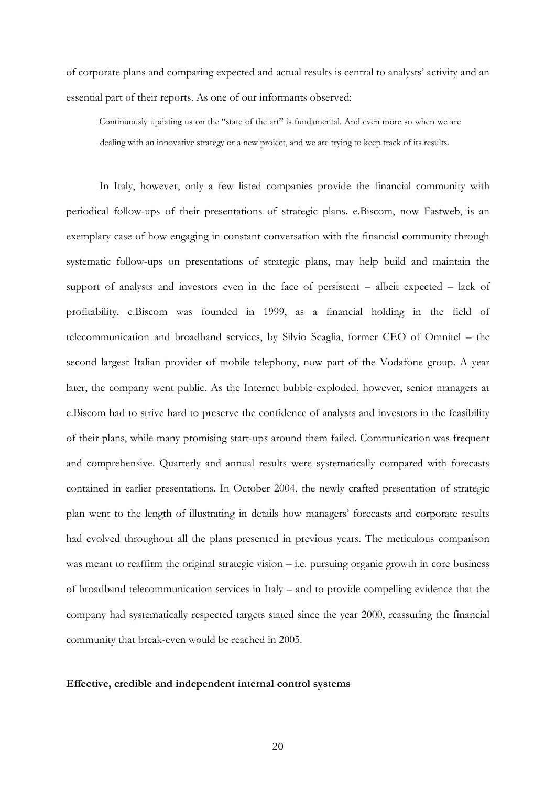of corporate plans and comparing expected and actual results is central to analysts' activity and an essential part of their reports. As one of our informants observed:

Continuously updating us on the "state of the art" is fundamental. And even more so when we are dealing with an innovative strategy or a new project, and we are trying to keep track of its results.

In Italy, however, only a few listed companies provide the financial community with periodical follow-ups of their presentations of strategic plans. e.Biscom, now Fastweb, is an exemplary case of how engaging in constant conversation with the financial community through systematic follow-ups on presentations of strategic plans, may help build and maintain the support of analysts and investors even in the face of persistent – albeit expected – lack of profitability. e.Biscom was founded in 1999, as a financial holding in the field of telecommunication and broadband services, by Silvio Scaglia, former CEO of Omnitel – the second largest Italian provider of mobile telephony, now part of the Vodafone group. A year later, the company went public. As the Internet bubble exploded, however, senior managers at e.Biscom had to strive hard to preserve the confidence of analysts and investors in the feasibility of their plans, while many promising start-ups around them failed. Communication was frequent and comprehensive. Quarterly and annual results were systematically compared with forecasts contained in earlier presentations. In October 2004, the newly crafted presentation of strategic plan went to the length of illustrating in details how managers' forecasts and corporate results had evolved throughout all the plans presented in previous years. The meticulous comparison was meant to reaffirm the original strategic vision – i.e. pursuing organic growth in core business of broadband telecommunication services in Italy – and to provide compelling evidence that the company had systematically respected targets stated since the year 2000, reassuring the financial community that break-even would be reached in 2005.

## **Effective, credible and independent internal control systems**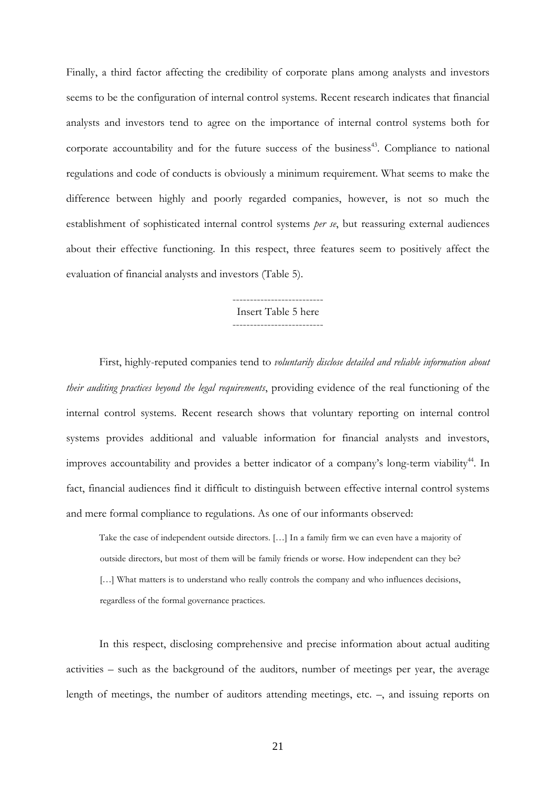Finally, a third factor affecting the credibility of corporate plans among analysts and investors seems to be the configuration of internal control systems. Recent research indicates that financial analysts and investors tend to agree on the importance of internal control systems both for corporate accountability and for the future success of the business<sup>43</sup>. Compliance to national regulations and code of conducts is obviously a minimum requirement. What seems to make the difference between highly and poorly regarded companies, however, is not so much the establishment of sophisticated internal control systems *per se*, but reassuring external audiences about their effective functioning. In this respect, three features seem to positively affect the evaluation of financial analysts and investors (Table 5).

## -------------------------- Insert Table 5 here --------------------------

First, highly-reputed companies tend to *voluntarily disclose detailed and reliable information about their auditing practices beyond the legal requirements*, providing evidence of the real functioning of the internal control systems. Recent research shows that voluntary reporting on internal control systems provides additional and valuable information for financial analysts and investors, improves accountability and provides a better indicator of a company's long-term viability<sup>44</sup>. In fact, financial audiences find it difficult to distinguish between effective internal control systems and mere formal compliance to regulations. As one of our informants observed:

Take the case of independent outside directors. […] In a family firm we can even have a majority of outside directors, but most of them will be family friends or worse. How independent can they be? [...] What matters is to understand who really controls the company and who influences decisions, regardless of the formal governance practices.

In this respect, disclosing comprehensive and precise information about actual auditing activities – such as the background of the auditors, number of meetings per year, the average length of meetings, the number of auditors attending meetings, etc. –, and issuing reports on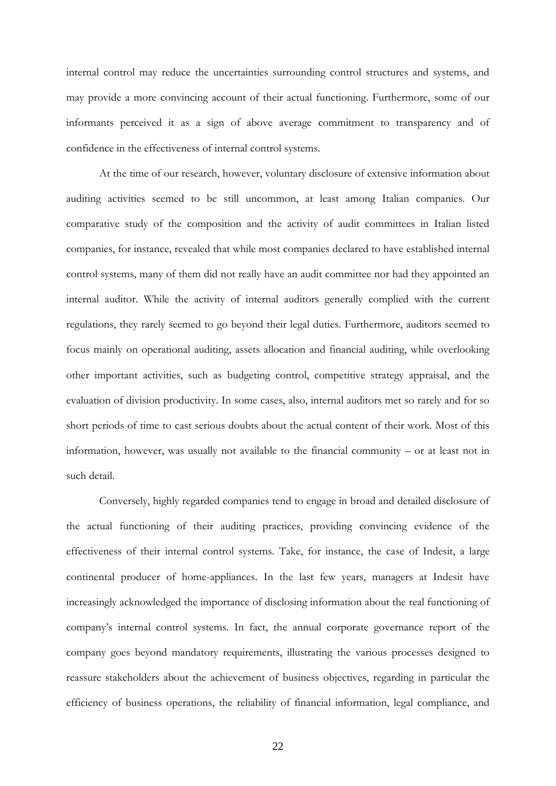internal control may reduce the uncertainties surrounding control structures and systems, and may provide a more convincing account of their actual functioning. Furthermore, some of our informants perceived it as a sign of above average commitment to transparency and of confidence in the effectiveness of internal control systems.

At the time of our research, however, voluntary disclosure of extensive information about auditing activities seemed to be still uncommon, at least among Italian companies. Our comparative study of the composition and the activity of audit committees in Italian listed companies, for instance, revealed that while most companies declared to have established internal control systems, many of them did not really have an audit committee nor had they appointed an internal auditor. While the activity of internal auditors generally complied with the current regulations, they rarely seemed to go beyond their legal duties. Furthermore, auditors seemed to focus mainly on operational auditing, assets allocation and financial auditing, while overlooking other important activities, such as budgeting control, competitive strategy appraisal, and the evaluation of division productivity. In some cases, also, internal auditors met so rarely and for so short periods of time to cast serious doubts about the actual content of their work. Most of this information, however, was usually not available to the financial community – or at least not in such detail.

Conversely, highly regarded companies tend to engage in broad and detailed disclosure of the actual functioning of their auditing practices, providing convincing evidence of the effectiveness of their internal control systems. Take, for instance, the case of Indesit, a large continental producer of home-appliances. In the last few years, managers at Indesit have increasingly acknowledged the importance of disclosing information about the real functioning of company's internal control systems. In fact, the annual corporate governance report of the company goes beyond mandatory requirements, illustrating the various processes designed to reassure stakeholders about the achievement of business objectives, regarding in particular the efficiency of business operations, the reliability of financial information, legal compliance, and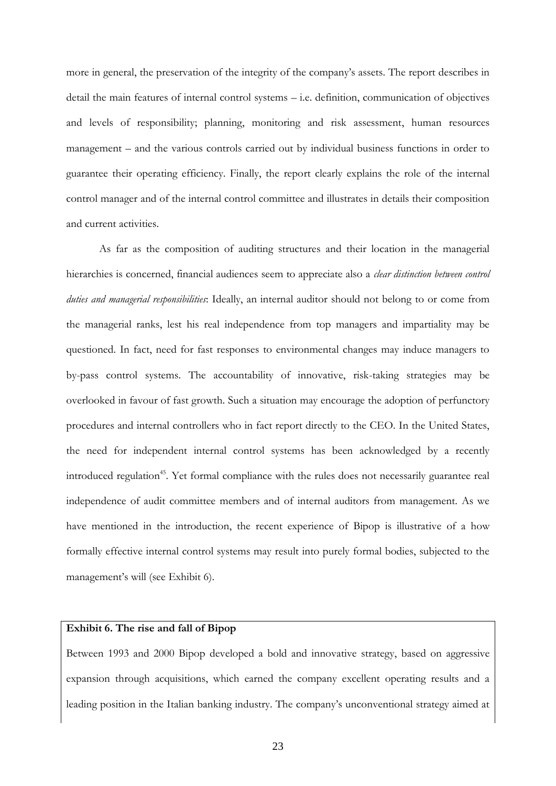more in general, the preservation of the integrity of the company's assets. The report describes in detail the main features of internal control systems – i.e. definition, communication of objectives and levels of responsibility; planning, monitoring and risk assessment, human resources management – and the various controls carried out by individual business functions in order to guarantee their operating efficiency. Finally, the report clearly explains the role of the internal control manager and of the internal control committee and illustrates in details their composition and current activities.

As far as the composition of auditing structures and their location in the managerial hierarchies is concerned, financial audiences seem to appreciate also a *clear distinction between control duties and managerial responsibilities*: Ideally, an internal auditor should not belong to or come from the managerial ranks, lest his real independence from top managers and impartiality may be questioned. In fact, need for fast responses to environmental changes may induce managers to by-pass control systems. The accountability of innovative, risk-taking strategies may be overlooked in favour of fast growth. Such a situation may encourage the adoption of perfunctory procedures and internal controllers who in fact report directly to the CEO. In the United States, the need for independent internal control systems has been acknowledged by a recently introduced regulation<sup>45</sup>. Yet formal compliance with the rules does not necessarily guarantee real independence of audit committee members and of internal auditors from management. As we have mentioned in the introduction, the recent experience of Bipop is illustrative of a how formally effective internal control systems may result into purely formal bodies, subjected to the management's will (see Exhibit 6).

## **Exhibit 6. The rise and fall of Bipop**

Between 1993 and 2000 Bipop developed a bold and innovative strategy, based on aggressive expansion through acquisitions, which earned the company excellent operating results and a leading position in the Italian banking industry. The company's unconventional strategy aimed at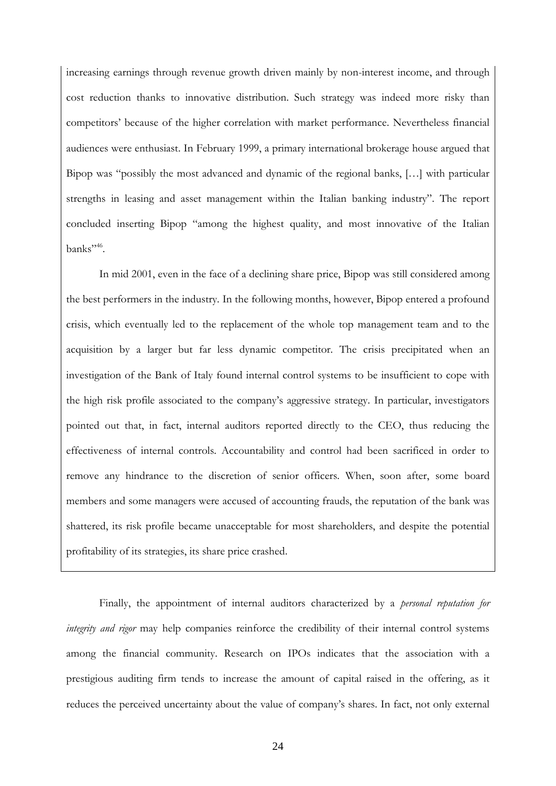increasing earnings through revenue growth driven mainly by non-interest income, and through cost reduction thanks to innovative distribution. Such strategy was indeed more risky than competitors' because of the higher correlation with market performance. Nevertheless financial audiences were enthusiast. In February 1999, a primary international brokerage house argued that Bipop was "possibly the most advanced and dynamic of the regional banks, […] with particular strengths in leasing and asset management within the Italian banking industry". The report concluded inserting Bipop "among the highest quality, and most innovative of the Italian banks"<sup>46</sup>.

In mid 2001, even in the face of a declining share price, Bipop was still considered among the best performers in the industry. In the following months, however, Bipop entered a profound crisis, which eventually led to the replacement of the whole top management team and to the acquisition by a larger but far less dynamic competitor. The crisis precipitated when an investigation of the Bank of Italy found internal control systems to be insufficient to cope with the high risk profile associated to the company's aggressive strategy. In particular, investigators pointed out that, in fact, internal auditors reported directly to the CEO, thus reducing the effectiveness of internal controls. Accountability and control had been sacrificed in order to remove any hindrance to the discretion of senior officers. When, soon after, some board members and some managers were accused of accounting frauds, the reputation of the bank was shattered, its risk profile became unacceptable for most shareholders, and despite the potential profitability of its strategies, its share price crashed.

Finally, the appointment of internal auditors characterized by a *personal reputation for integrity and rigor* may help companies reinforce the credibility of their internal control systems among the financial community. Research on IPOs indicates that the association with a prestigious auditing firm tends to increase the amount of capital raised in the offering, as it reduces the perceived uncertainty about the value of company's shares. In fact, not only external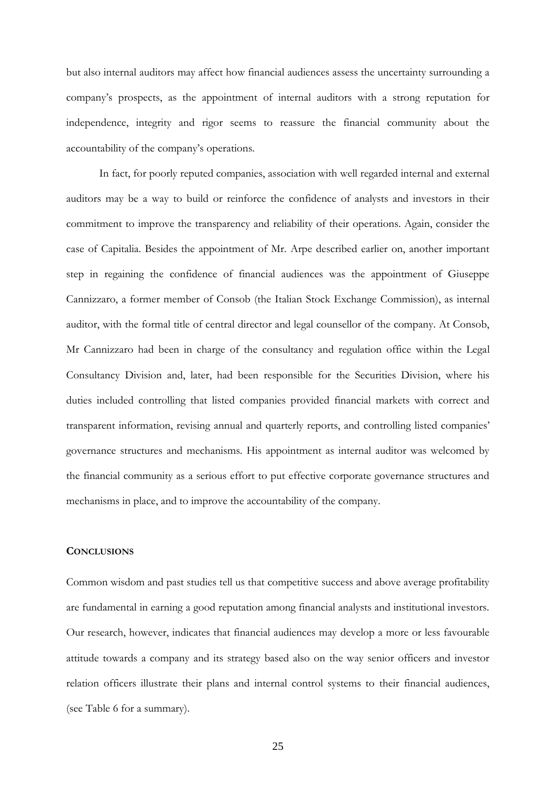but also internal auditors may affect how financial audiences assess the uncertainty surrounding a company's prospects, as the appointment of internal auditors with a strong reputation for independence, integrity and rigor seems to reassure the financial community about the accountability of the company's operations.

In fact, for poorly reputed companies, association with well regarded internal and external auditors may be a way to build or reinforce the confidence of analysts and investors in their commitment to improve the transparency and reliability of their operations. Again, consider the case of Capitalia. Besides the appointment of Mr. Arpe described earlier on, another important step in regaining the confidence of financial audiences was the appointment of Giuseppe Cannizzaro, a former member of Consob (the Italian Stock Exchange Commission), as internal auditor, with the formal title of central director and legal counsellor of the company. At Consob, Mr Cannizzaro had been in charge of the consultancy and regulation office within the Legal Consultancy Division and, later, had been responsible for the Securities Division, where his duties included controlling that listed companies provided financial markets with correct and transparent information, revising annual and quarterly reports, and controlling listed companies' governance structures and mechanisms. His appointment as internal auditor was welcomed by the financial community as a serious effort to put effective corporate governance structures and mechanisms in place, and to improve the accountability of the company.

## **CONCLUSIONS**

Common wisdom and past studies tell us that competitive success and above average profitability are fundamental in earning a good reputation among financial analysts and institutional investors. Our research, however, indicates that financial audiences may develop a more or less favourable attitude towards a company and its strategy based also on the way senior officers and investor relation officers illustrate their plans and internal control systems to their financial audiences, (see Table 6 for a summary).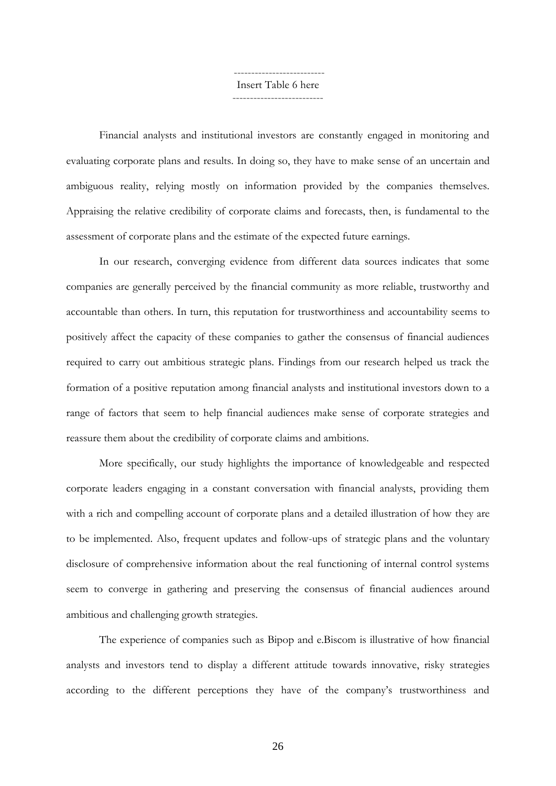-------------------------- Insert Table 6 here

--------------------------

Financial analysts and institutional investors are constantly engaged in monitoring and evaluating corporate plans and results. In doing so, they have to make sense of an uncertain and ambiguous reality, relying mostly on information provided by the companies themselves. Appraising the relative credibility of corporate claims and forecasts, then, is fundamental to the assessment of corporate plans and the estimate of the expected future earnings.

In our research, converging evidence from different data sources indicates that some companies are generally perceived by the financial community as more reliable, trustworthy and accountable than others. In turn, this reputation for trustworthiness and accountability seems to positively affect the capacity of these companies to gather the consensus of financial audiences required to carry out ambitious strategic plans. Findings from our research helped us track the formation of a positive reputation among financial analysts and institutional investors down to a range of factors that seem to help financial audiences make sense of corporate strategies and reassure them about the credibility of corporate claims and ambitions.

More specifically, our study highlights the importance of knowledgeable and respected corporate leaders engaging in a constant conversation with financial analysts, providing them with a rich and compelling account of corporate plans and a detailed illustration of how they are to be implemented. Also, frequent updates and follow-ups of strategic plans and the voluntary disclosure of comprehensive information about the real functioning of internal control systems seem to converge in gathering and preserving the consensus of financial audiences around ambitious and challenging growth strategies.

The experience of companies such as Bipop and e.Biscom is illustrative of how financial analysts and investors tend to display a different attitude towards innovative, risky strategies according to the different perceptions they have of the company's trustworthiness and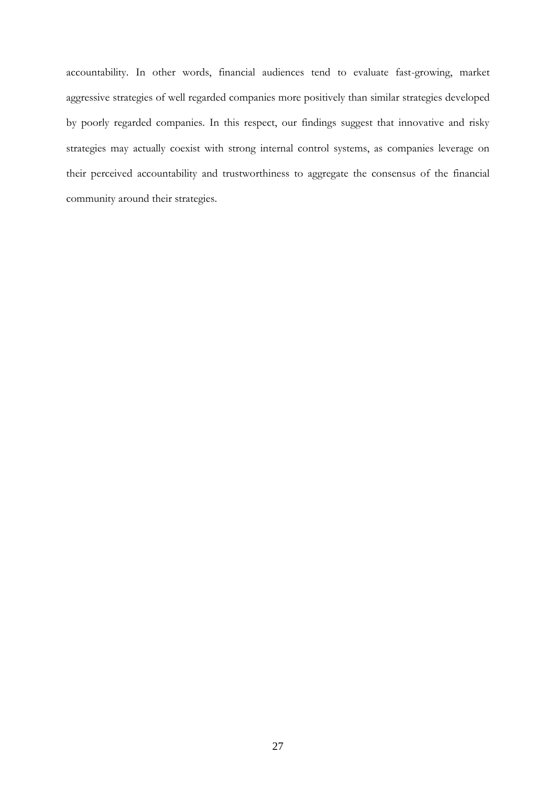accountability. In other words, financial audiences tend to evaluate fast-growing, market aggressive strategies of well regarded companies more positively than similar strategies developed by poorly regarded companies. In this respect, our findings suggest that innovative and risky strategies may actually coexist with strong internal control systems, as companies leverage on their perceived accountability and trustworthiness to aggregate the consensus of the financial community around their strategies.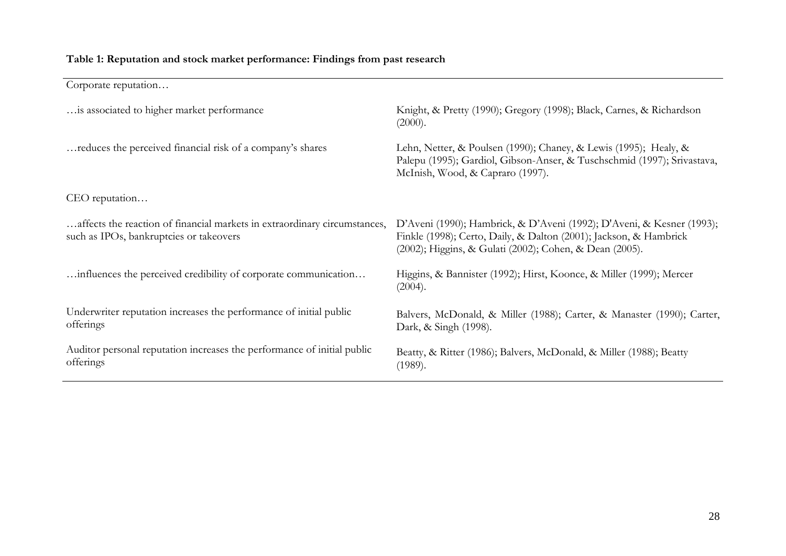## **Table 1: Reputation and stock market performance: Findings from past research**

Corporate reputation… …is associated to higher market performance Knight, & Pretty (1990); Gregory (1998); Black, Carnes, & Richardson (2000). ...reduces the perceived financial risk of a company's shares Lehn, Netter, & Poulsen (1990); Chaney, & Lewis (1995); Healy, & Palepu (1995); Gardiol, Gibson-Anser, & Tuschschmid (1997); Srivastava, McInish, Wood, & Capraro (1997). CEO reputation… …affects the reaction of financial markets in extraordinary circumstances, such as IPOs, bankruptcies or takeovers D'Aveni (1990); Hambrick, & D'Aveni (1992); D'Aveni, & Kesner (1993); Finkle (1998); Certo, Daily, & Dalton (2001); Jackson, & Hambrick (2002); Higgins, & Gulati (2002); Cohen, & Dean (2005). …influences the perceived credibility of corporate communication… Higgins, & Bannister (1992); Hirst, Koonce, & Miller (1999); Mercer (2004). Underwriter reputation increases the performance of initial public offerings Balvers, McDonald, & Miller (1988); Carter, & Manaster (1990); Carter, Dark, & Singh (1998). Auditor personal reputation increases the performance of initial public offerings Beatty, & Ritter (1986); Balvers, McDonald, & Miller (1988); Beatty (1989).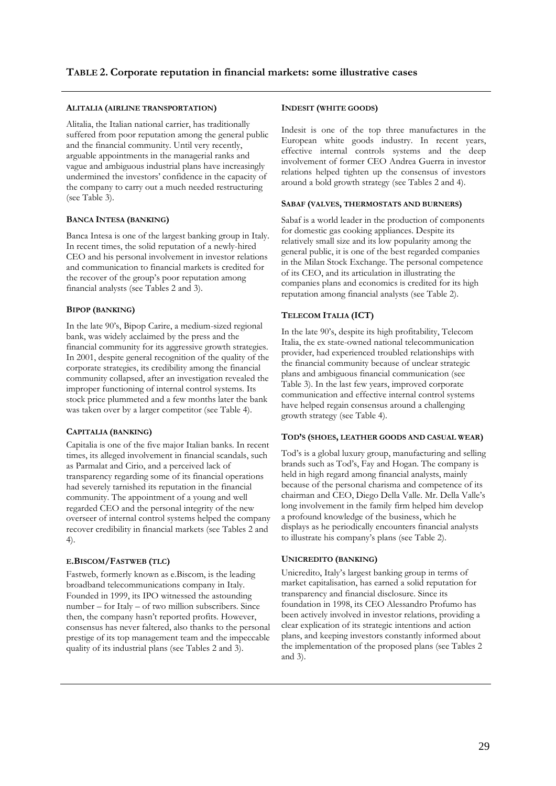#### **ALITALIA (AIRLINE TRANSPORTATION)**

Alitalia, the Italian national carrier, has traditionally suffered from poor reputation among the general public and the financial community. Until very recently, arguable appointments in the managerial ranks and vague and ambiguous industrial plans have increasingly undermined the investors' confidence in the capacity of the company to carry out a much needed restructuring (see Table 3).

#### **BANCA INTESA (BANKING)**

Banca Intesa is one of the largest banking group in Italy. In recent times, the solid reputation of a newly-hired CEO and his personal involvement in investor relations and communication to financial markets is credited for the recover of the group's poor reputation among financial analysts (see Tables 2 and 3).

#### **BIPOP (BANKING)**

In the late 90's, Bipop Carire, a medium-sized regional bank, was widely acclaimed by the press and the financial community for its aggressive growth strategies. In 2001, despite general recognition of the quality of the corporate strategies, its credibility among the financial community collapsed, after an investigation revealed the improper functioning of internal control systems. Its stock price plummeted and a few months later the bank was taken over by a larger competitor (see Table 4).

#### **CAPITALIA (BANKING)**

Capitalia is one of the five major Italian banks. In recent times, its alleged involvement in financial scandals, such as Parmalat and Cirio, and a perceived lack of transparency regarding some of its financial operations had severely tarnished its reputation in the financial community. The appointment of a young and well regarded CEO and the personal integrity of the new overseer of internal control systems helped the company recover credibility in financial markets (see Tables 2 and 4).

#### **E.BISCOM/FASTWEB (TLC)**

Fastweb, formerly known as e.Biscom, is the leading broadband telecommunications company in Italy. Founded in 1999, its IPO witnessed the astounding number – for Italy – of two million subscribers. Since then, the company hasn't reported profits. However, consensus has never faltered, also thanks to the personal prestige of its top management team and the impeccable quality of its industrial plans (see Tables 2 and 3).

## **INDESIT (WHITE GOODS)**

Indesit is one of the top three manufactures in the European white goods industry. In recent years, effective internal controls systems and the deep involvement of former CEO Andrea Guerra in investor relations helped tighten up the consensus of investors around a bold growth strategy (see Tables 2 and 4).

#### **SABAF (VALVES, THERMOSTATS AND BURNERS)**

Sabaf is a world leader in the production of components for domestic gas cooking appliances. Despite its relatively small size and its low popularity among the general public, it is one of the best regarded companies in the Milan Stock Exchange. The personal competence of its CEO, and its articulation in illustrating the companies plans and economics is credited for its high reputation among financial analysts (see Table 2).

## **TELECOM ITALIA (ICT)**

In the late 90's, despite its high profitability, Telecom Italia, the ex state-owned national telecommunication provider, had experienced troubled relationships with the financial community because of unclear strategic plans and ambiguous financial communication (see Table 3). In the last few years, improved corporate communication and effective internal control systems have helped regain consensus around a challenging growth strategy (see Table 4).

#### **TOD'S (SHOES, LEATHER GOODS AND CASUAL WEAR)**

Tod's is a global luxury group, manufacturing and selling brands such as Tod's, Fay and Hogan. The company is held in high regard among financial analysts, mainly because of the personal charisma and competence of its chairman and CEO, Diego Della Valle. Mr. Della Valle's long involvement in the family firm helped him develop a profound knowledge of the business, which he displays as he periodically encounters financial analysts to illustrate his company's plans (see Table 2).

#### **UNICREDITO (BANKING)**

Unicredito, Italy's largest banking group in terms of market capitalisation, has earned a solid reputation for transparency and financial disclosure. Since its foundation in 1998, its CEO Alessandro Profumo has been actively involved in investor relations, providing a clear explication of its strategic intentions and action plans, and keeping investors constantly informed about the implementation of the proposed plans (see Tables 2 and 3).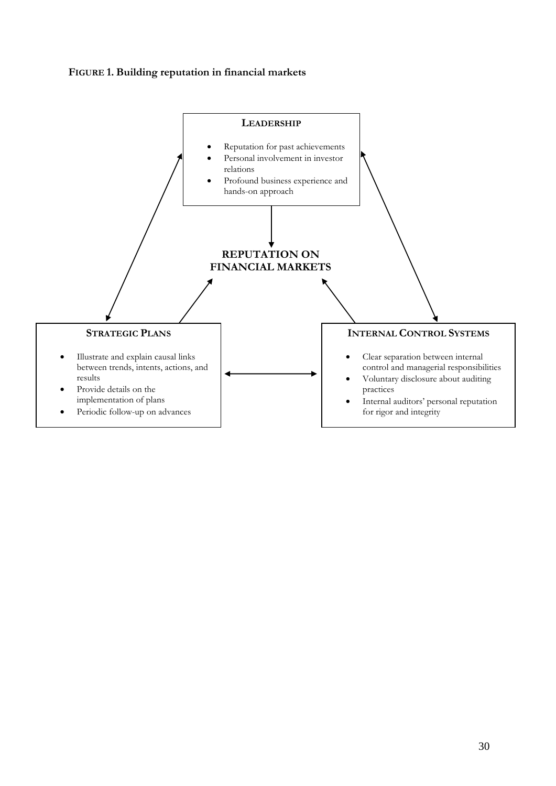## **FIGURE 1. Building reputation in financial markets**

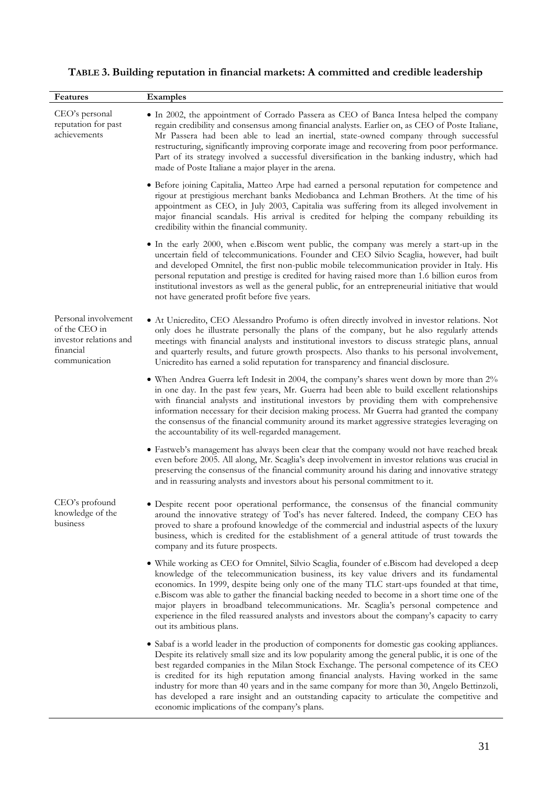| Features                                                                                      | Examples                                                                                                                                                                                                                                                                                                                                                                                                                                                                                                                                                                                                     |
|-----------------------------------------------------------------------------------------------|--------------------------------------------------------------------------------------------------------------------------------------------------------------------------------------------------------------------------------------------------------------------------------------------------------------------------------------------------------------------------------------------------------------------------------------------------------------------------------------------------------------------------------------------------------------------------------------------------------------|
| CEO's personal<br>reputation for past<br>achievements                                         | • In 2002, the appointment of Corrado Passera as CEO of Banca Intesa helped the company<br>regain credibility and consensus among financial analysts. Earlier on, as CEO of Poste Italiane,<br>Mr Passera had been able to lead an inertial, state-owned company through successful<br>restructuring, significantly improving corporate image and recovering from poor performance.<br>Part of its strategy involved a successful diversification in the banking industry, which had<br>made of Poste Italiane a major player in the arena.                                                                  |
|                                                                                               | • Before joining Capitalia, Matteo Arpe had earned a personal reputation for competence and<br>rigour at prestigious merchant banks Mediobanca and Lehman Brothers. At the time of his<br>appointment as CEO, in July 2003, Capitalia was suffering from its alleged involvement in<br>major financial scandals. His arrival is credited for helping the company rebuilding its<br>credibility within the financial community.                                                                                                                                                                               |
|                                                                                               | • In the early 2000, when e.Biscom went public, the company was merely a start-up in the<br>uncertain field of telecommunications. Founder and CEO Silvio Scaglia, however, had built<br>and developed Omnitel, the first non-public mobile telecommunication provider in Italy. His<br>personal reputation and prestige is credited for having raised more than 1.6 billion euros from<br>institutional investors as well as the general public, for an entrepreneurial initiative that would<br>not have generated profit before five years.                                                               |
| Personal involvement<br>of the CEO in<br>investor relations and<br>financial<br>communication | • At Unicredito, CEO Alessandro Profumo is often directly involved in investor relations. Not<br>only does he illustrate personally the plans of the company, but he also regularly attends<br>meetings with financial analysts and institutional investors to discuss strategic plans, annual<br>and quarterly results, and future growth prospects. Also thanks to his personal involvement,<br>Unicredito has earned a solid reputation for transparency and financial disclosure.                                                                                                                        |
|                                                                                               | • When Andrea Guerra left Indesit in 2004, the company's shares went down by more than 2%<br>in one day. In the past few years, Mr. Guerra had been able to build excellent relationships<br>with financial analysts and institutional investors by providing them with comprehensive<br>information necessary for their decision making process. Mr Guerra had granted the company<br>the consensus of the financial community around its market aggressive strategies leveraging on<br>the accountability of its well-regarded management.                                                                 |
|                                                                                               | • Fastweb's management has always been clear that the company would not have reached break<br>even before 2005. All along, Mr. Scaglia's deep involvement in investor relations was crucial in<br>preserving the consensus of the financial community around his daring and innovative strategy<br>and in reassuring analysts and investors about his personal commitment to it.                                                                                                                                                                                                                             |
| CEO's profound<br>knowledge of the<br>business                                                | · Despite recent poor operational performance, the consensus of the financial community<br>around the innovative strategy of Tod's has never faltered. Indeed, the company CEO has<br>proved to share a profound knowledge of the commercial and industrial aspects of the luxury<br>business, which is credited for the establishment of a general attitude of trust towards the<br>company and its future prospects.                                                                                                                                                                                       |
|                                                                                               | • While working as CEO for Omnitel, Silvio Scaglia, founder of e.Biscom had developed a deep<br>knowledge of the telecommunication business, its key value drivers and its fundamental<br>economics. In 1999, despite being only one of the many TLC start-ups founded at that time,<br>e. Biscom was able to gather the financial backing needed to become in a short time one of the<br>major players in broadband telecommunications. Mr. Scaglia's personal competence and<br>experience in the filed reassured analysts and investors about the company's capacity to carry<br>out its ambitious plans. |
|                                                                                               | • Sabaf is a world leader in the production of components for domestic gas cooking appliances.<br>Despite its relatively small size and its low popularity among the general public, it is one of the<br>best regarded companies in the Milan Stock Exchange. The personal competence of its CEO<br>is credited for its high reputation among financial analysts. Having worked in the same<br>industry for more than 40 years and in the same company for more than 30, Angelo Bettinzoli,<br>has developed a rare insight and an outstanding capacity to articulate the competitive and                    |

economic implications of the company's plans.

## **TABLE 3. Building reputation in financial markets: A committed and credible leadership**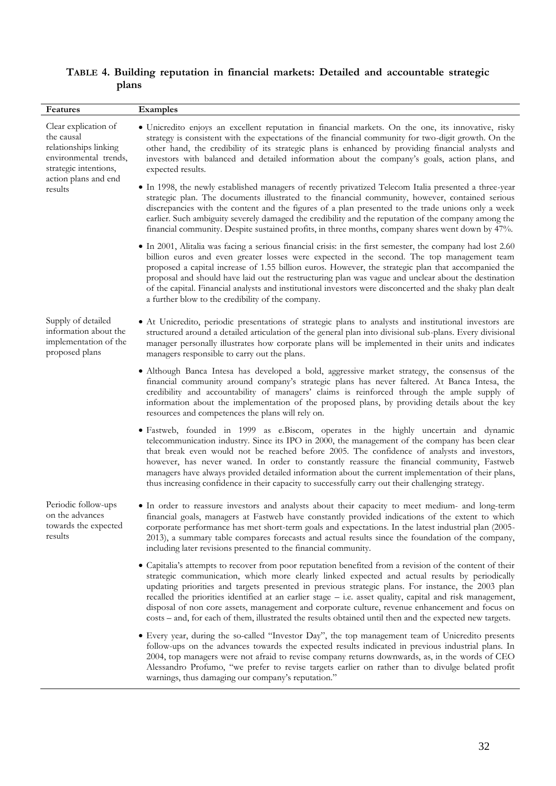## **TABLE 4. Building reputation in financial markets: Detailed and accountable strategic plans**

| <b>Features</b>                                                                                                                                  | <b>Examples</b>                                                                                                                                                                                                                                                                                                                                                                                                                                                                                                                                                                                                                              |
|--------------------------------------------------------------------------------------------------------------------------------------------------|----------------------------------------------------------------------------------------------------------------------------------------------------------------------------------------------------------------------------------------------------------------------------------------------------------------------------------------------------------------------------------------------------------------------------------------------------------------------------------------------------------------------------------------------------------------------------------------------------------------------------------------------|
| Clear explication of<br>the causal<br>relationships linking<br>environmental trends,<br>strategic intentions,<br>action plans and end<br>results | • Unicredito enjoys an excellent reputation in financial markets. On the one, its innovative, risky<br>strategy is consistent with the expectations of the financial community for two-digit growth. On the<br>other hand, the credibility of its strategic plans is enhanced by providing financial analysts and<br>investors with balanced and detailed information about the company's goals, action plans, and<br>expected results.                                                                                                                                                                                                      |
|                                                                                                                                                  | • In 1998, the newly established managers of recently privatized Telecom Italia presented a three-year<br>strategic plan. The documents illustrated to the financial community, however, contained serious<br>discrepancies with the content and the figures of a plan presented to the trade unions only a week<br>earlier. Such ambiguity severely damaged the credibility and the reputation of the company among the<br>financial community. Despite sustained profits, in three months, company shares went down by 47%.                                                                                                                |
|                                                                                                                                                  | • In 2001, Alitalia was facing a serious financial crisis: in the first semester, the company had lost 2.60<br>billion euros and even greater losses were expected in the second. The top management team<br>proposed a capital increase of 1.55 billion euros. However, the strategic plan that accompanied the<br>proposal and should have laid out the restructuring plan was vague and unclear about the destination<br>of the capital. Financial analysts and institutional investors were disconcerted and the shaky plan dealt<br>a further blow to the credibility of the company.                                                   |
| Supply of detailed<br>information about the<br>implementation of the<br>proposed plans                                                           | • At Unicredito, periodic presentations of strategic plans to analysts and institutional investors are<br>structured around a detailed articulation of the general plan into divisional sub-plans. Every divisional<br>manager personally illustrates how corporate plans will be implemented in their units and indicates<br>managers responsible to carry out the plans.                                                                                                                                                                                                                                                                   |
|                                                                                                                                                  | • Although Banca Intesa has developed a bold, aggressive market strategy, the consensus of the<br>financial community around company's strategic plans has never faltered. At Banca Intesa, the<br>credibility and accountability of managers' claims is reinforced through the ample supply of<br>information about the implementation of the proposed plans, by providing details about the key<br>resources and competences the plans will rely on.                                                                                                                                                                                       |
|                                                                                                                                                  | • Fastweb, founded in 1999 as e.Biscom, operates in the highly uncertain and dynamic<br>telecommunication industry. Since its IPO in 2000, the management of the company has been clear<br>that break even would not be reached before 2005. The confidence of analysts and investors,<br>however, has never waned. In order to constantly reassure the financial community, Fastweb<br>managers have always provided detailed information about the current implementation of their plans,<br>thus increasing confidence in their capacity to successfully carry out their challenging strategy.                                            |
| Periodic follow-ups<br>on the advances<br>towards the expected<br>results                                                                        | • In order to reassure investors and analysts about their capacity to meet medium- and long-term<br>financial goals, managers at Fastweb have constantly provided indications of the extent to which<br>corporate performance has met short-term goals and expectations. In the latest industrial plan (2005-<br>2013), a summary table compares forecasts and actual results since the foundation of the company,<br>including later revisions presented to the financial community.                                                                                                                                                        |
|                                                                                                                                                  | • Capitalia's attempts to recover from poor reputation benefited from a revision of the content of their<br>strategic communication, which more clearly linked expected and actual results by periodically<br>updating priorities and targets presented in previous strategic plans. For instance, the 2003 plan<br>recalled the priorities identified at an earlier stage - i.e. asset quality, capital and risk management,<br>disposal of non core assets, management and corporate culture, revenue enhancement and focus on<br>costs – and, for each of them, illustrated the results obtained until then and the expected new targets. |
|                                                                                                                                                  | • Every year, during the so-called "Investor Day", the top management team of Unicredito presents<br>follow-ups on the advances towards the expected results indicated in previous industrial plans. In<br>2004, top managers were not afraid to revise company returns downwards, as, in the words of CEO<br>Alessandro Profumo, "we prefer to revise targets earlier on rather than to divulge belated profit<br>warnings, thus damaging our company's reputation."                                                                                                                                                                        |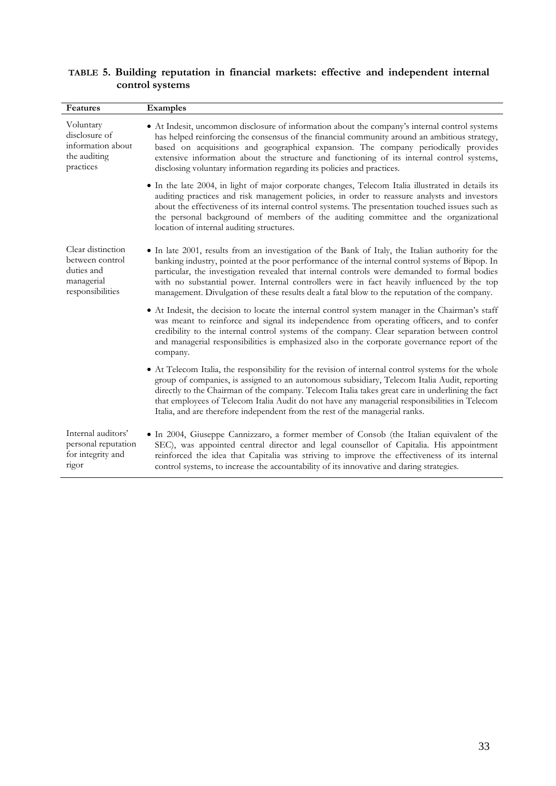| <b>Features</b>                                                                      | <b>Examples</b>                                                                                                                                                                                                                                                                                                                                                                                                                                                                                    |
|--------------------------------------------------------------------------------------|----------------------------------------------------------------------------------------------------------------------------------------------------------------------------------------------------------------------------------------------------------------------------------------------------------------------------------------------------------------------------------------------------------------------------------------------------------------------------------------------------|
| Voluntary<br>disclosure of<br>information about<br>the auditing<br>practices         | • At Indesit, uncommon disclosure of information about the company's internal control systems<br>has helped reinforcing the consensus of the financial community around an ambitious strategy,<br>based on acquisitions and geographical expansion. The company periodically provides<br>extensive information about the structure and functioning of its internal control systems,<br>disclosing voluntary information regarding its policies and practices.                                      |
|                                                                                      | • In the late 2004, in light of major corporate changes, Telecom Italia illustrated in details its<br>auditing practices and risk management policies, in order to reassure analysts and investors<br>about the effectiveness of its internal control systems. The presentation touched issues such as<br>the personal background of members of the auditing committee and the organizational<br>location of internal auditing structures.                                                         |
| Clear distinction<br>between control<br>duties and<br>managerial<br>responsibilities | • In late 2001, results from an investigation of the Bank of Italy, the Italian authority for the<br>banking industry, pointed at the poor performance of the internal control systems of Bipop. In<br>particular, the investigation revealed that internal controls were demanded to formal bodies<br>with no substantial power. Internal controllers were in fact heavily influenced by the top<br>management. Divulgation of these results dealt a fatal blow to the reputation of the company. |
|                                                                                      | • At Indesit, the decision to locate the internal control system manager in the Chairman's staff<br>was meant to reinforce and signal its independence from operating officers, and to confer<br>credibility to the internal control systems of the company. Clear separation between control<br>and managerial responsibilities is emphasized also in the corporate governance report of the<br>company.                                                                                          |
|                                                                                      | • At Telecom Italia, the responsibility for the revision of internal control systems for the whole<br>group of companies, is assigned to an autonomous subsidiary, Telecom Italia Audit, reporting<br>directly to the Chairman of the company. Telecom Italia takes great care in underlining the fact<br>that employees of Telecom Italia Audit do not have any managerial responsibilities in Telecom<br>Italia, and are therefore independent from the rest of the managerial ranks.            |
| Internal auditors'<br>personal reputation<br>for integrity and<br>rigor              | • In 2004, Giuseppe Cannizzaro, a former member of Consob (the Italian equivalent of the<br>SEC), was appointed central director and legal counsellor of Capitalia. His appointment<br>reinforced the idea that Capitalia was striving to improve the effectiveness of its internal<br>control systems, to increase the accountability of its innovative and daring strategies.                                                                                                                    |

## **TABLE 5. Building reputation in financial markets: effective and independent internal control systems**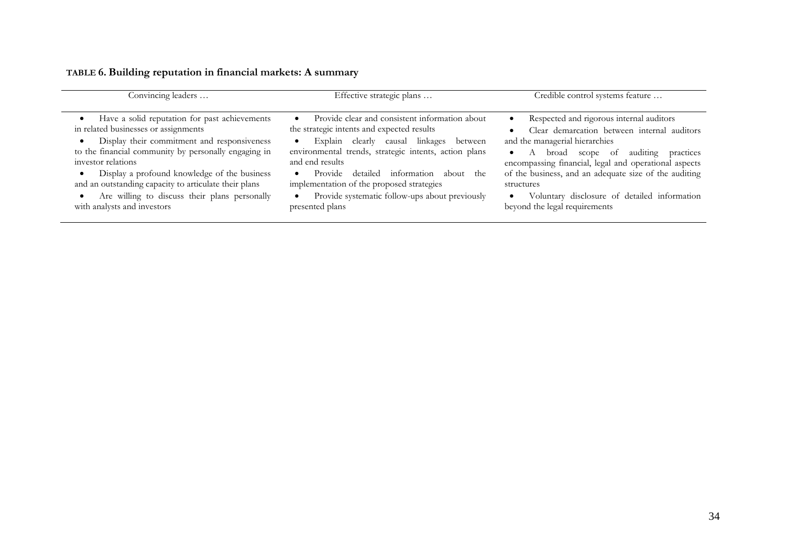| Convincing leaders                                                                                                                                                                                                                                                                                                                                                                                          | Effective strategic plans                                                                                                                                                                                                                                                                                                                                                                                                             | Credible control systems feature                                                                                                                                                                                                                                                                                                                                                                             |  |
|-------------------------------------------------------------------------------------------------------------------------------------------------------------------------------------------------------------------------------------------------------------------------------------------------------------------------------------------------------------------------------------------------------------|---------------------------------------------------------------------------------------------------------------------------------------------------------------------------------------------------------------------------------------------------------------------------------------------------------------------------------------------------------------------------------------------------------------------------------------|--------------------------------------------------------------------------------------------------------------------------------------------------------------------------------------------------------------------------------------------------------------------------------------------------------------------------------------------------------------------------------------------------------------|--|
| Have a solid reputation for past achievements<br>in related businesses or assignments<br>Display their commitment and responsiveness<br>to the financial community by personally engaging in<br>investor relations<br>Display a profound knowledge of the business<br>and an outstanding capacity to articulate their plans<br>Are willing to discuss their plans personally<br>with analysts and investors | Provide clear and consistent information about<br>the strategic intents and expected results<br>Explain clearly causal linkages<br>between<br>$\bullet$<br>environmental trends, strategic intents, action plans<br>and end results<br>information<br>detailed<br>the<br>Provide<br>about<br>$\bullet$<br>implementation of the proposed strategies<br>Provide systematic follow-ups about previously<br>$\bullet$<br>presented plans | Respected and rigorous internal auditors<br>$\bullet$<br>Clear demarcation between internal auditors<br>and the managerial hierarchies<br>broad scope of auditing<br>practices<br>$\bullet$<br>encompassing financial, legal and operational aspects<br>of the business, and an adequate size of the auditing<br>structures<br>Voluntary disclosure of detailed information<br>beyond the legal requirements |  |

## **TABLE 6. Building reputation in financial markets: A summary**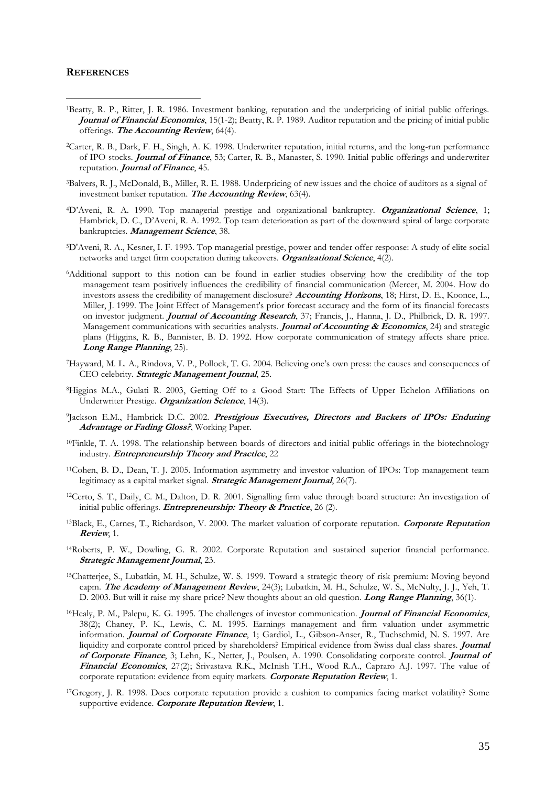#### **REFERENCES**

 $\overline{a}$ 

- <sup>1</sup>Beatty, R. P., Ritter, J. R. 1986. Investment banking, reputation and the underpricing of initial public offerings. **Journal of Financial Economics**, 15(1-2); Beatty, R. P. 1989. Auditor reputation and the pricing of initial public offerings. **The Accounting Review**, 64(4).
- <sup>2</sup>Carter, R. B., Dark, F. H., Singh, A. K. 1998. Underwriter reputation, initial returns, and the long-run performance of IPO stocks. **Journal of Finance**, 53; Carter, R. B., Manaster, S. 1990. Initial public offerings and underwriter reputation. **Journal of Finance**, 45.
- <sup>3</sup>Balvers, R. J., McDonald, B., Miller, R. E. 1988. Underpricing of new issues and the choice of auditors as a signal of investment banker reputation. **The Accounting Review**, 63(4).
- <sup>4</sup>D'Aveni, R. A. 1990. Top managerial prestige and organizational bankruptcy. **Organizational Science**, 1; Hambrick, D. C., D'Aveni, R. A. 1992. Top team deterioration as part of the downward spiral of large corporate bankruptcies. **Management Science**, 38.
- <sup>5</sup>D'Aveni, R. A., Kesner, I. F. 1993. Top managerial prestige, power and tender offer response: A study of elite social networks and target firm cooperation during takeovers. **Organizational Science**, 4(2).
- <sup>6</sup>Additional support to this notion can be found in earlier studies observing how the credibility of the top management team positively influences the credibility of financial communication (Mercer, M. 2004. How do investors assess the credibility of management disclosure? **Accounting Horizons**, 18; Hirst, D. E., Koonce, L., Miller, J. 1999. The Joint Effect of Management's prior forecast accuracy and the form of its financial forecasts on investor judgment. **Journal of Accounting Research**, 37; Francis, J., Hanna, J. D., Philbrick, D. R. 1997. Management communications with securities analysts. **Journal of Accounting & Economics**, 24) and strategic plans (Higgins, R. B., Bannister, B. D. 1992. How corporate communication of strategy affects share price. **Long Range Planning**, 25).
- <sup>7</sup>Hayward, M. L. A., Rindova, V. P., Pollock, T. G. 2004. Believing one's own press: the causes and consequences of CEO celebrity. **Strategic Management Journal**, 25.
- <sup>8</sup>Higgins M.A., Gulati R. 2003, Getting Off to a Good Start: The Effects of Upper Echelon Affiliations on Underwriter Prestige. **Organization Science**, 14(3).
- 9 Jackson E.M., Hambrick D.C. 2002. **Prestigious Executives, Directors and Backers of IPOs: Enduring Advantage or Fading Gloss?**, Working Paper.
- <sup>10</sup>Finkle, T. A. 1998. The relationship between boards of directors and initial public offerings in the biotechnology industry. **Entrepreneurship Theory and Practice**, 22
- <sup>11</sup>Cohen, B. D., Dean, T. J. 2005. Information asymmetry and investor valuation of IPOs: Top management team legitimacy as a capital market signal. **Strategic Management Journal**, 26(7).
- <sup>12</sup>Certo, S. T., Daily, C. M., Dalton, D. R. 2001. [Signalling firm value through board structure: An investigation of](http://web11.epnet.com/citation.asp?tb=1&_ug=sid+A5621F94%2DE16F%2D46DE%2D99FA%2D2A2CABA8C516%40sessionmgr4+dbs+buh+cp+1+1B70&_us=frn+1+hd+False+hs+True+cst+0%3B1%3B2%3B3+or+Date+fh+False+ss+SO+sm+ES+sl+0+dstb+ES+mh+1+ri+KAAACBTB00049765+BCB5&_uso=hd+False+tg%5B2+%2D+tg%5B1+%2DAU+tg%5B0+%2DAU+st%5B2+%2D+st%5B1+%2Ddalton+st%5B0+%2Dcerto+db%5B0+%2Dbuh+op%5B2+%2DAnd+op%5B1+%2DAnd+op%5B0+%2D+5C6F&fn=1&rn=8)  [initial public offerings.](http://web11.epnet.com/citation.asp?tb=1&_ug=sid+A5621F94%2DE16F%2D46DE%2D99FA%2D2A2CABA8C516%40sessionmgr4+dbs+buh+cp+1+1B70&_us=frn+1+hd+False+hs+True+cst+0%3B1%3B2%3B3+or+Date+fh+False+ss+SO+sm+ES+sl+0+dstb+ES+mh+1+ri+KAAACBTB00049765+BCB5&_uso=hd+False+tg%5B2+%2D+tg%5B1+%2DAU+tg%5B0+%2DAU+st%5B2+%2D+st%5B1+%2Ddalton+st%5B0+%2Dcerto+db%5B0+%2Dbuh+op%5B2+%2DAnd+op%5B1+%2DAnd+op%5B0+%2D+5C6F&fn=1&rn=8) **Entrepreneurship: Theory & Practice**, 26 (2).
- <sup>13</sup>Black, E., Carnes, T., Richardson, V. 2000. The market valuation of corporate reputation. **Corporate Reputation Review**, 1.
- <sup>14</sup>Roberts, P. W., Dowling, G. R. 2002. Corporate Reputation and sustained superior financial performance. **Strategic Management Journal**, 23.
- <sup>15</sup>Chatterjee, S., Lubatkin, M. H., Schulze, W. S. 1999. Toward a strategic theory of risk premium: Moving beyond capm. **The Academy of Management Review**, 24(3); Lubatkin, M. H., Schulze, W. S., McNulty, J. J., Yeh, T. D. 2003. But will it raise my share price? New thoughts about an old question. **Long Range Planning**, 36(1).
- <sup>16</sup>Healy, P. M., Palepu, K. G. 1995. The challenges of investor communication. **Journal of Financial Economics**, 38(2); Chaney, P. K., Lewis, C. M. 1995. Earnings management and firm valuation under asymmetric information. **Journal of Corporate Finance**, 1; Gardiol, L., Gibson-Anser, R., Tuchschmid, N. S. 1997. Are liquidity and corporate control priced by shareholders? Empirical evidence from Swiss dual class shares. **Journal of Corporate Finance**, 3; Lehn, K., Netter, J., Poulsen, A. 1990. Consolidating corporate control. **Journal of Financial Economics**, 27(2); Srivastava R.K., McInish T.H., Wood R.A., Capraro A.J. 1997. The value of corporate reputation: evidence from equity markets. **Corporate Reputation Review**, 1.
- <sup>17</sup>Gregory, J. R. 1998. Does corporate reputation provide a cushion to companies facing market volatility? Some supportive evidence. **Corporate Reputation Review**, 1.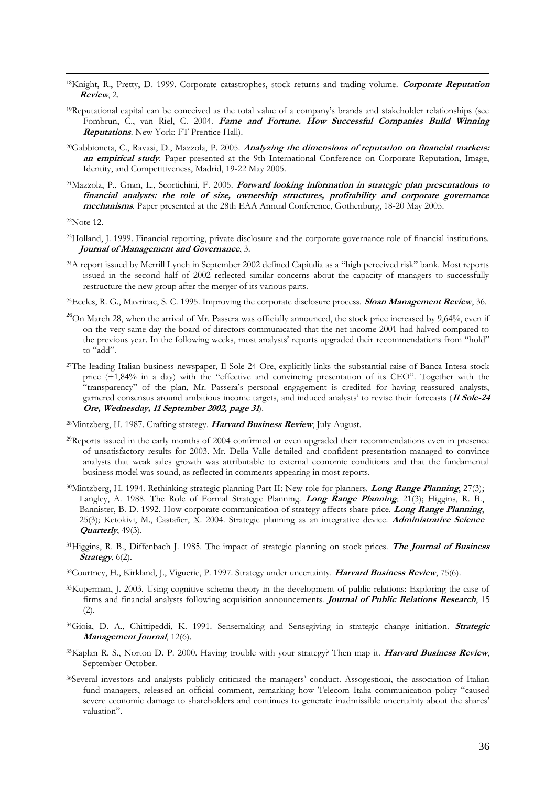- <sup>18</sup>Knight, R., Pretty, D. 1999. Corporate catastrophes, stock returns and trading volume. **Corporate Reputation Review**, 2.
- <sup>19</sup>Reputational capital can be conceived as the total value of a company's brands and stakeholder relationships (see Fombrun, C., van Riel, C. 2004. **Fame and Fortune. How Successful Companies Build Winning Reputations**. New York: FT Prentice Hall).
- <sup>20</sup>Gabbioneta, C., Ravasi, D., Mazzola, P. 2005. **Analyzing the dimensions of reputation on financial markets: an empirical study**. Paper presented at the 9th International Conference on Corporate Reputation, Image, Identity, and Competitiveness, Madrid, 19-22 May 2005.
- <sup>21</sup>Mazzola, P., Gnan, L., Scortichini, F. 2005. **Forward looking information in strategic plan presentations to financial analysts: the role of size, ownership structures, profitability and corporate governance mechanisms**. Paper presented at the 28th EAA Annual Conference, Gothenburg, 18-20 May 2005.

<sup>22</sup>Note 12.

 $\overline{a}$ 

- <sup>23</sup>Holland, J. 1999. Financial reporting, private disclosure and the corporate governance role of financial institutions. **Journal of Management and Governance**, 3.
- <sup>24</sup>A report issued by Merrill Lynch in September 2002 defined Capitalia as a "high perceived risk" bank. Most reports issued in the second half of 2002 reflected similar concerns about the capacity of managers to successfully restructure the new group after the merger of its various parts.
- <sup>25</sup>Eccles, R. G., Mavrinac, S. C. 1995. Improving the corporate disclosure process. **Sloan Management Review**, 36.
- $^{26}$ On March 28, when the arrival of Mr. Passera was officially announced, the stock price increased by 9,64%, even if on the very same day the board of directors communicated that the net income 2001 had halved compared to the previous year. In the following weeks, most analysts' reports upgraded their recommendations from "hold" to "add".
- <sup>27</sup>The leading Italian business newspaper, Il Sole-24 Ore, explicitly links the substantial raise of Banca Intesa stock price (+1,84% in a day) with the "effective and convincing presentation of its CEO". Together with the "transparency" of the plan, Mr. Passera's personal engagement is credited for having reassured analysts, garnered consensus around ambitious income targets, and induced analysts' to revise their forecasts (**Il Sole-24 Ore, Wednesday, 11 September 2002, page 31**).

<sup>28</sup>Mintzberg, H. 1987. Crafting strategy. **Harvard Business Review**, July-August.

- <sup>29</sup>Reports issued in the early months of 2004 confirmed or even upgraded their recommendations even in presence of unsatisfactory results for 2003. Mr. Della Valle detailed and confident presentation managed to convince analysts that weak sales growth was attributable to external economic conditions and that the fundamental business model was sound, as reflected in comments appearing in most reports.
- <sup>30</sup>Mintzberg, H. 1994. Rethinking strategic planning Part II: New role for planners. **Long Range Planning**, 27(3); Langley, A. 1988. The Role of Formal Strategic Planning. **Long Range Planning**, 21(3); Higgins, R. B., Bannister, B. D. 1992. How corporate communication of strategy affects share price. **Long Range Planning**, 25(3); Ketokivi, M., Castañer, X. 2004. Strategic planning as an integrative device. **Administrative Science Quarterly**, 49(3).
- <sup>31</sup>Higgins, R. B., Diffenbach J. 1985. The impact of strategic planning on stock prices. **The Journal of Business Strategy**, 6(2).
- <sup>32</sup>Courtney, H., Kirkland, J., Viguerie, P. 1997. Strategy under uncertainty. **Harvard Business Review**, 75(6).
- <sup>33</sup>Kuperman, J. 2003. Using cognitive schema theory in the development of public relations: Exploring the case of firms and financial analysts following acquisition announcements. **Journal of Public Relations Research**, 15  $(2).$
- <sup>34</sup>Gioia, D. A., Chittipeddi, K. 1991. Sensemaking and Sensegiving in strategic change initiation. **Strategic Management Journal**, 12(6).
- <sup>35</sup>Kaplan R. S., Norton D. P. 2000. Having trouble with your strategy? Then map it. **Harvard Business Review**, September-October.
- <sup>36</sup>Several investors and analysts publicly criticized the managers' conduct. Assogestioni, the association of Italian fund managers, released an official comment, remarking how Telecom Italia communication policy "caused severe economic damage to shareholders and continues to generate inadmissible uncertainty about the shares' valuation".